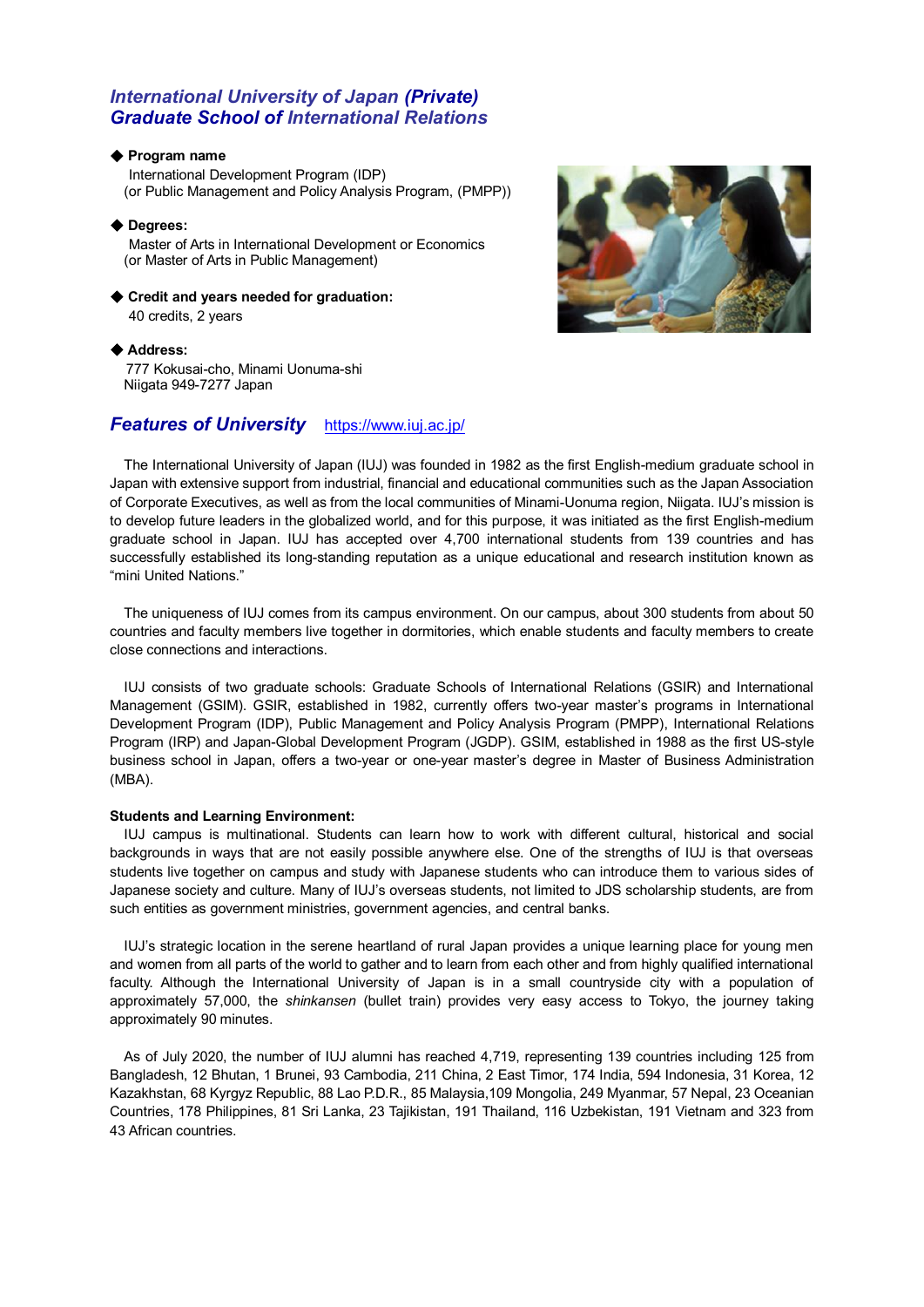## *International University of Japan (Private) Graduate School of International Relations*

## ◆ **Program name**

 International Development Program (IDP) (or Public Management and Policy Analysis Program, (PMPP))

## ◆ **Degrees:**

 Master of Arts in International Development or Economics (or Master of Arts in Public Management)

◆ **Credit and years needed for graduation:** 

40 credits, 2 years

## ◆ **Address:**

777 Kokusai-cho, Minami Uonuma-shi Niigata 949-7277 Japan

## *Features of University* <https://www.iuj.ac.jp/>



The International University of Japan (IUJ) was founded in 1982 as the first English-medium graduate school in Japan with extensive support from industrial, financial and educational communities such as the Japan Association of Corporate Executives, as well as from the local communities of Minami-Uonuma region, Niigata. IUJ's mission is to develop future leaders in the globalized world, and for this purpose, it was initiated as the first English-medium graduate school in Japan. IUJ has accepted over 4,700 international students from 139 countries and has successfully established its long-standing reputation as a unique educational and research institution known as "mini United Nations."

The uniqueness of IUJ comes from its campus environment. On our campus, about 300 students from about 50 countries and faculty members live together in dormitories, which enable students and faculty members to create close connections and interactions.

IUJ consists of two graduate schools: Graduate Schools of International Relations (GSIR) and International Management (GSIM). GSIR, established in 1982, currently offers two-year master's programs in International Development Program (IDP), Public Management and Policy Analysis Program (PMPP), International Relations Program (IRP) and Japan-Global Development Program (JGDP). GSIM, established in 1988 as the first US-style business school in Japan, offers a two-year or one-year master's degree in Master of Business Administration (MBA).

## **Students and Learning Environment:**

IUJ campus is multinational. Students can learn how to work with different cultural, historical and social backgrounds in ways that are not easily possible anywhere else. One of the strengths of IUJ is that overseas students live together on campus and study with Japanese students who can introduce them to various sides of Japanese society and culture. Many of IUJ's overseas students, not limited to JDS scholarship students, are from such entities as government ministries, government agencies, and central banks.

IUJ's strategic location in the serene heartland of rural Japan provides a unique learning place for young men and women from all parts of the world to gather and to learn from each other and from highly qualified international faculty. Although the International University of Japan is in a small countryside city with a population of approximately 57,000, the *shinkansen* (bullet train) provides very easy access to Tokyo, the journey taking approximately 90 minutes.

As of July 2020, the number of IUJ alumni has reached 4,719, representing 139 countries including 125 from Bangladesh, 12 Bhutan, 1 Brunei, 93 Cambodia, 211 China, 2 East Timor, 174 India, 594 Indonesia, 31 Korea, 12 Kazakhstan, 68 Kyrgyz Republic, 88 Lao P.D.R., 85 Malaysia,109 Mongolia, 249 Myanmar, 57 Nepal, 23 Oceanian Countries, 178 Philippines, 81 Sri Lanka, 23 Tajikistan, 191 Thailand, 116 Uzbekistan, 191 Vietnam and 323 from 43 African countries.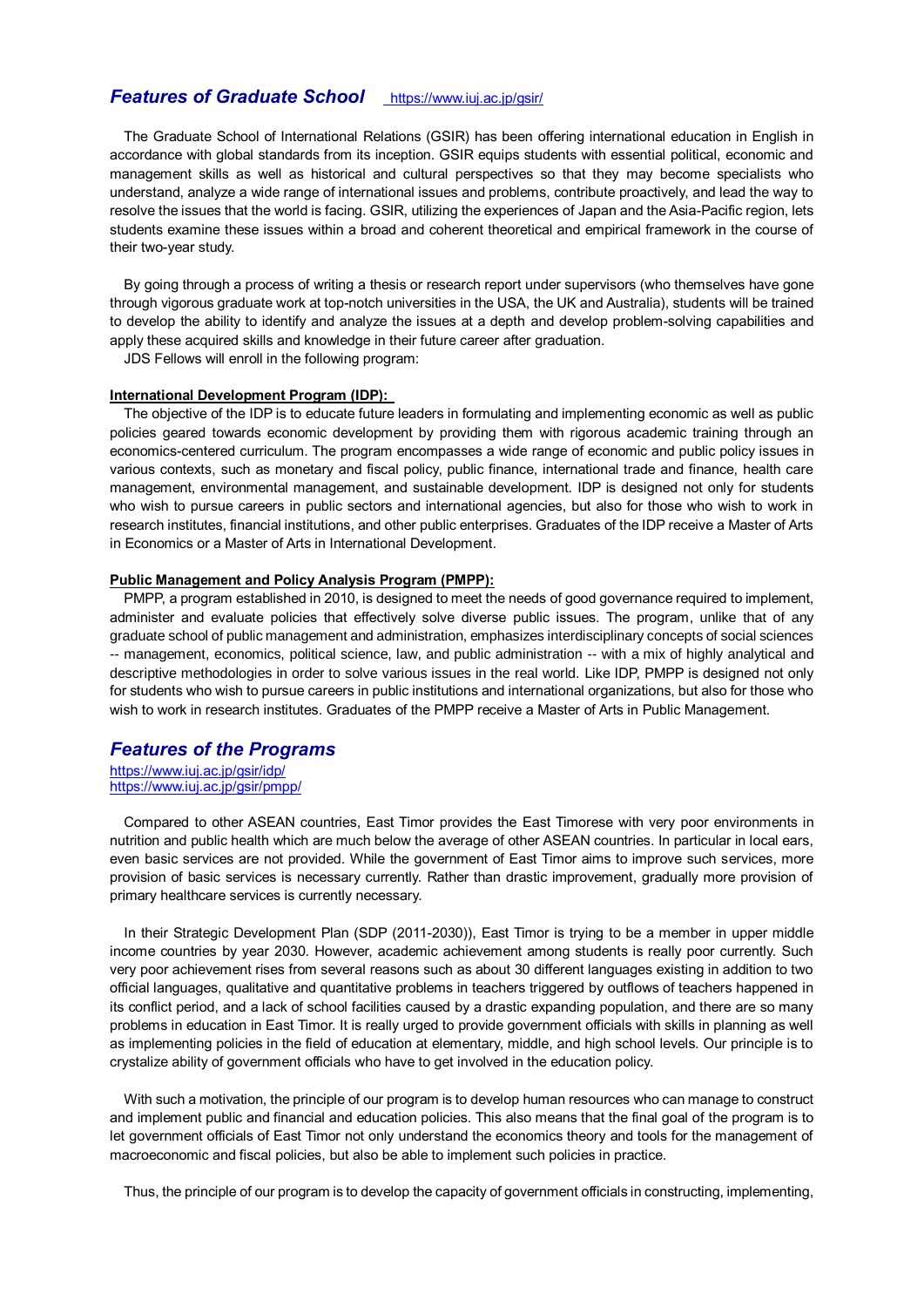## **Features of Graduate School** https://www.juj.ac.jp/gsir/

The Graduate School of International Relations (GSIR) has been offering international education in English in accordance with global standards from its inception. GSIR equips students with essential political, economic and management skills as well as historical and cultural perspectives so that they may become specialists who understand, analyze a wide range of international issues and problems, contribute proactively, and lead the way to resolve the issues that the world is facing. GSIR, utilizing the experiences of Japan and the Asia-Pacific region, lets students examine these issues within a broad and coherent theoretical and empirical framework in the course of their two-year study.

By going through a process of writing a thesis or research report under supervisors (who themselves have gone through vigorous graduate work at top-notch universities in the USA, the UK and Australia), students will be trained to develop the ability to identify and analyze the issues at a depth and develop problem-solving capabilities and apply these acquired skills and knowledge in their future career after graduation.

JDS Fellows will enroll in the following program:

#### **International Development Program (IDP):**

The objective of the IDP is to educate future leaders in formulating and implementing economic as well as public policies geared towards economic development by providing them with rigorous academic training through an economics-centered curriculum. The program encompasses a wide range of economic and public policy issues in various contexts, such as monetary and fiscal policy, public finance, international trade and finance, health care management, environmental management, and sustainable development. IDP is designed not only for students who wish to pursue careers in public sectors and international agencies, but also for those who wish to work in research institutes, financial institutions, and other public enterprises. Graduates of the IDP receive a Master of Arts in Economics or a Master of Arts in International Development.

#### **Public Management and Policy Analysis Program (PMPP):**

PMPP, a program established in 2010, is designed to meet the needs of good governance required to implement, administer and evaluate policies that effectively solve diverse public issues. The program, unlike that of any graduate school of public management and administration, emphasizes interdisciplinary concepts of social sciences -- management, economics, political science, law, and public administration -- with a mix of highly analytical and descriptive methodologies in order to solve various issues in the real world. Like IDP, PMPP is designed not only for students who wish to pursue careers in public institutions and international organizations, but also for those who wish to work in research institutes. Graduates of the PMPP receive a Master of Arts in Public Management.

## *Features of the Programs*

<https://www.iuj.ac.jp/gsir/idp/> <https://www.iuj.ac.jp/gsir/pmpp/>

Compared to other ASEAN countries, East Timor provides the East Timorese with very poor environments in nutrition and public health which are much below the average of other ASEAN countries. In particular in local ears, even basic services are not provided. While the government of East Timor aims to improve such services, more provision of basic services is necessary currently. Rather than drastic improvement, gradually more provision of primary healthcare services is currently necessary.

In their Strategic Development Plan (SDP (2011-2030)), East Timor is trying to be a member in upper middle income countries by year 2030. However, academic achievement among students is really poor currently. Such very poor achievement rises from several reasons such as about 30 different languages existing in addition to two official languages, qualitative and quantitative problems in teachers triggered by outflows of teachers happened in its conflict period, and a lack of school facilities caused by a drastic expanding population, and there are so many problems in education in East Timor. It is really urged to provide government officials with skills in planning as well as implementing policies in the field of education at elementary, middle, and high school levels. Our principle is to crystalize ability of government officials who have to get involved in the education policy.

With such a motivation, the principle of our program is to develop human resources who can manage to construct and implement public and financial and education policies. This also means that the final goal of the program is to let government officials of East Timor not only understand the economics theory and tools for the management of macroeconomic and fiscal policies, but also be able to implement such policies in practice.

Thus, the principle of our program is to develop the capacity of government officials in constructing, implementing,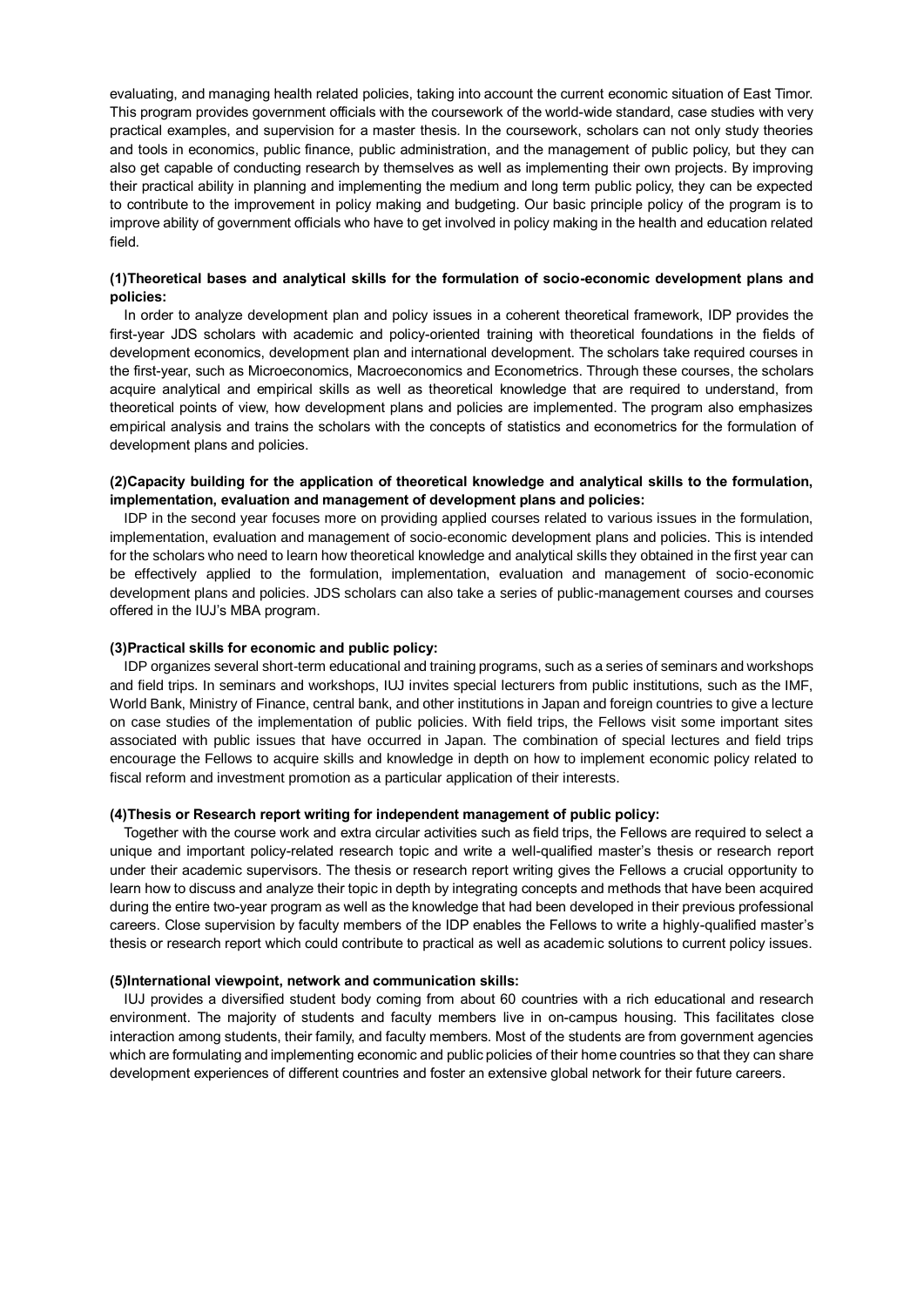evaluating, and managing health related policies, taking into account the current economic situation of East Timor. This program provides government officials with the coursework of the world-wide standard, case studies with very practical examples, and supervision for a master thesis. In the coursework, scholars can not only study theories and tools in economics, public finance, public administration, and the management of public policy, but they can also get capable of conducting research by themselves as well as implementing their own projects. By improving their practical ability in planning and implementing the medium and long term public policy, they can be expected to contribute to the improvement in policy making and budgeting. Our basic principle policy of the program is to improve ability of government officials who have to get involved in policy making in the health and education related field.

## **(1)Theoretical bases and analytical skills for the formulation of socio-economic development plans and policies:**

In order to analyze development plan and policy issues in a coherent theoretical framework, IDP provides the first-year JDS scholars with academic and policy-oriented training with theoretical foundations in the fields of development economics, development plan and international development. The scholars take required courses in the first-year, such as Microeconomics, Macroeconomics and Econometrics. Through these courses, the scholars acquire analytical and empirical skills as well as theoretical knowledge that are required to understand, from theoretical points of view, how development plans and policies are implemented. The program also emphasizes empirical analysis and trains the scholars with the concepts of statistics and econometrics for the formulation of development plans and policies.

## **(2)Capacity building for the application of theoretical knowledge and analytical skills to the formulation, implementation, evaluation and management of development plans and policies:**

IDP in the second year focuses more on providing applied courses related to various issues in the formulation, implementation, evaluation and management of socio-economic development plans and policies. This is intended for the scholars who need to learn how theoretical knowledge and analytical skills they obtained in the first year can be effectively applied to the formulation, implementation, evaluation and management of socio-economic development plans and policies. JDS scholars can also take a series of public-management courses and courses offered in the IUJ's MBA program.

#### **(3)Practical skills for economic and public policy:**

IDP organizes several short-term educational and training programs, such as a series of seminars and workshops and field trips. In seminars and workshops, IUJ invites special lecturers from public institutions, such as the IMF, World Bank, Ministry of Finance, central bank, and other institutions in Japan and foreign countries to give a lecture on case studies of the implementation of public policies. With field trips, the Fellows visit some important sites associated with public issues that have occurred in Japan. The combination of special lectures and field trips encourage the Fellows to acquire skills and knowledge in depth on how to implement economic policy related to fiscal reform and investment promotion as a particular application of their interests.

### **(4)Thesis or Research report writing for independent management of public policy:**

Together with the course work and extra circular activities such as field trips, the Fellows are required to select a unique and important policy-related research topic and write a well-qualified master's thesis or research report under their academic supervisors. The thesis or research report writing gives the Fellows a crucial opportunity to learn how to discuss and analyze their topic in depth by integrating concepts and methods that have been acquired during the entire two-year program as well as the knowledge that had been developed in their previous professional careers. Close supervision by faculty members of the IDP enables the Fellows to write a highly-qualified master's thesis or research report which could contribute to practical as well as academic solutions to current policy issues.

#### **(5)International viewpoint, network and communication skills:**

IUJ provides a diversified student body coming from about 60 countries with a rich educational and research environment. The majority of students and faculty members live in on-campus housing. This facilitates close interaction among students, their family, and faculty members. Most of the students are from government agencies which are formulating and implementing economic and public policies of their home countries so that they can share development experiences of different countries and foster an extensive global network for their future careers.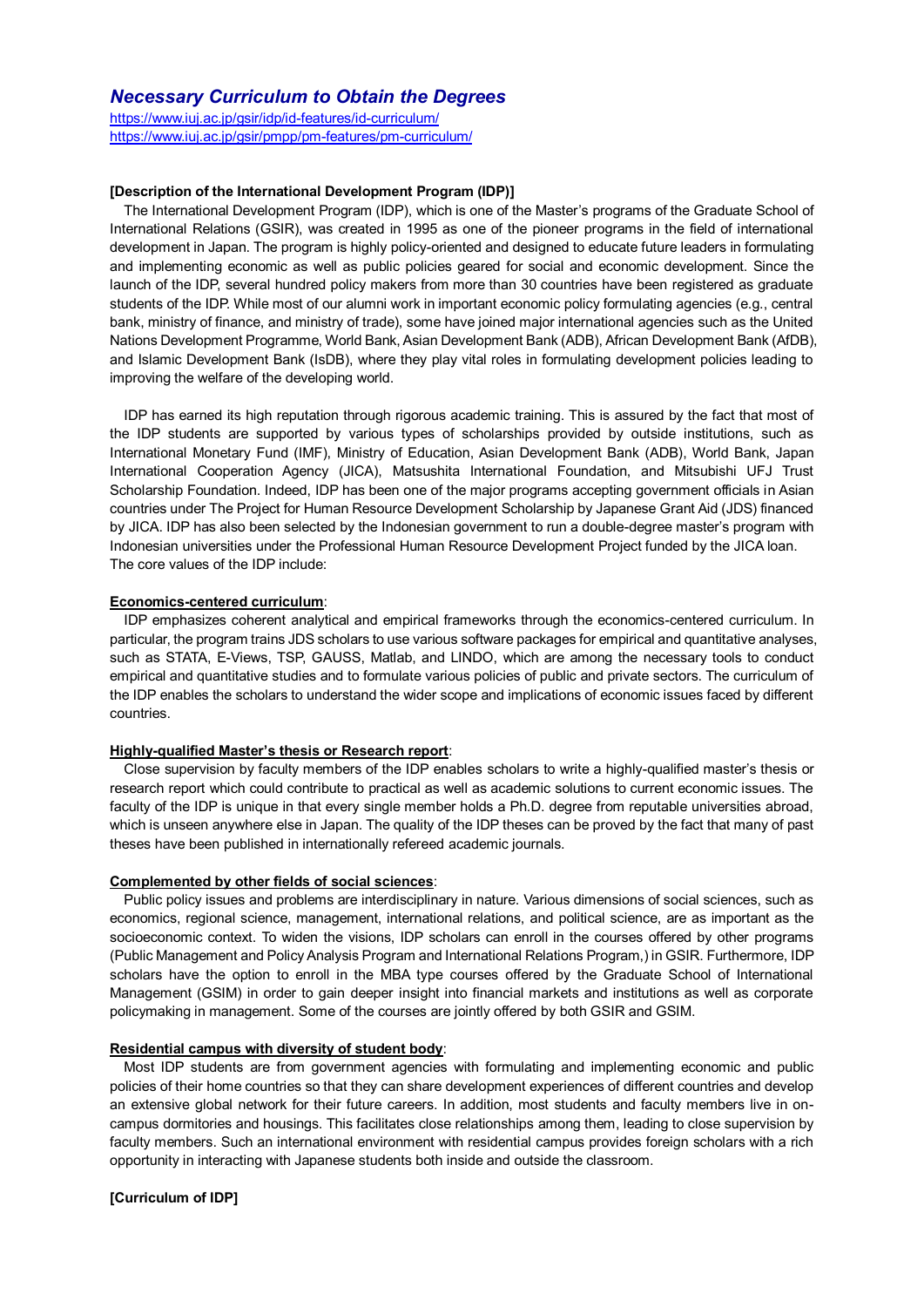## *Necessary Curriculum to Obtain the Degrees*

<https://www.iuj.ac.jp/gsir/idp/id-features/id-curriculum/> <https://www.iuj.ac.jp/gsir/pmpp/pm-features/pm-curriculum/>

#### **[Description of the International Development Program (IDP)]**

The International Development Program (IDP), which is one of the Master's programs of the Graduate School of International Relations (GSIR), was created in 1995 as one of the pioneer programs in the field of international development in Japan. The program is highly policy-oriented and designed to educate future leaders in formulating and implementing economic as well as public policies geared for social and economic development. Since the launch of the IDP, several hundred policy makers from more than 30 countries have been registered as graduate students of the IDP. While most of our alumni work in important economic policy formulating agencies (e.g., central bank, ministry of finance, and ministry of trade), some have joined major international agencies such as the United Nations Development Programme, World Bank, Asian Development Bank (ADB), African Development Bank (AfDB), and Islamic Development Bank (IsDB), where they play vital roles in formulating development policies leading to improving the welfare of the developing world.

IDP has earned its high reputation through rigorous academic training. This is assured by the fact that most of the IDP students are supported by various types of scholarships provided by outside institutions, such as International Monetary Fund (IMF), Ministry of Education, Asian Development Bank (ADB), World Bank, Japan International Cooperation Agency (JICA), Matsushita International Foundation, and Mitsubishi UFJ Trust Scholarship Foundation. Indeed, IDP has been one of the major programs accepting government officials in Asian countries under The Project for Human Resource Development Scholarship by Japanese Grant Aid (JDS) financed by JICA. IDP has also been selected by the Indonesian government to run a double-degree master's program with Indonesian universities under the Professional Human Resource Development Project funded by the JICA loan. The core values of the IDP include:

#### **Economics-centered curriculum**:

IDP emphasizes coherent analytical and empirical frameworks through the economics-centered curriculum. In particular, the program trains JDS scholars to use various software packages for empirical and quantitative analyses, such as STATA, E-Views, TSP, GAUSS, Matlab, and LINDO, which are among the necessary tools to conduct empirical and quantitative studies and to formulate various policies of public and private sectors. The curriculum of the IDP enables the scholars to understand the wider scope and implications of economic issues faced by different countries.

#### **Highly-qualified Master's thesis or Research report**:

Close supervision by faculty members of the IDP enables scholars to write a highly-qualified master's thesis or research report which could contribute to practical as well as academic solutions to current economic issues. The faculty of the IDP is unique in that every single member holds a Ph.D. degree from reputable universities abroad, which is unseen anywhere else in Japan. The quality of the IDP theses can be proved by the fact that many of past theses have been published in internationally refereed academic journals.

#### **Complemented by other fields of social sciences**:

Public policy issues and problems are interdisciplinary in nature. Various dimensions of social sciences, such as economics, regional science, management, international relations, and political science, are as important as the socioeconomic context. To widen the visions, IDP scholars can enroll in the courses offered by other programs (Public Management and Policy Analysis Program and International Relations Program,) in GSIR. Furthermore, IDP scholars have the option to enroll in the MBA type courses offered by the Graduate School of International Management (GSIM) in order to gain deeper insight into financial markets and institutions as well as corporate policymaking in management. Some of the courses are jointly offered by both GSIR and GSIM.

#### **Residential campus with diversity of student body**:

Most IDP students are from government agencies with formulating and implementing economic and public policies of their home countries so that they can share development experiences of different countries and develop an extensive global network for their future careers. In addition, most students and faculty members live in oncampus dormitories and housings. This facilitates close relationships among them, leading to close supervision by faculty members. Such an international environment with residential campus provides foreign scholars with a rich opportunity in interacting with Japanese students both inside and outside the classroom.

## **[Curriculum of IDP]**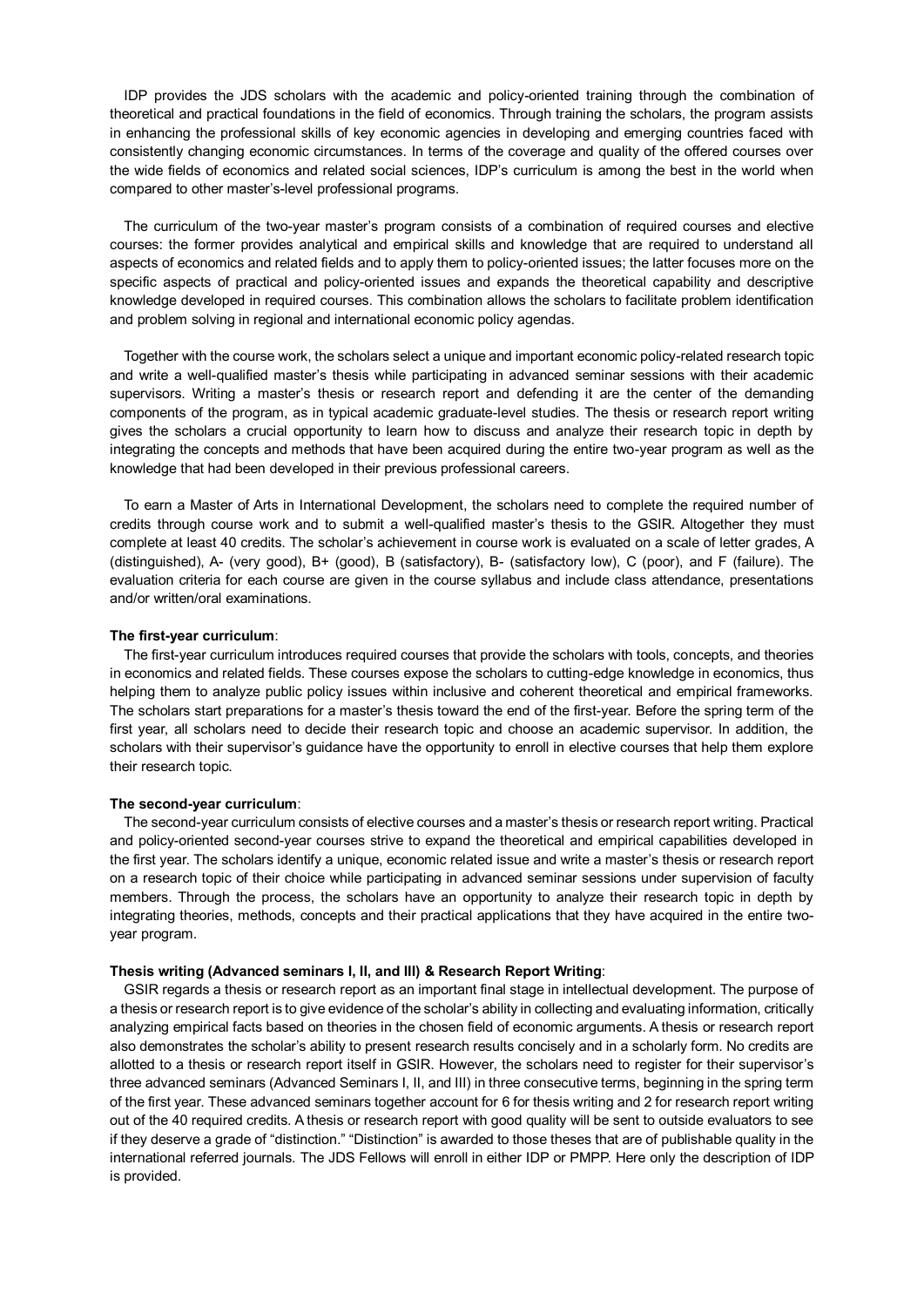IDP provides the JDS scholars with the academic and policy-oriented training through the combination of theoretical and practical foundations in the field of economics. Through training the scholars, the program assists in enhancing the professional skills of key economic agencies in developing and emerging countries faced with consistently changing economic circumstances. In terms of the coverage and quality of the offered courses over the wide fields of economics and related social sciences, IDP's curriculum is among the best in the world when compared to other master's-level professional programs.

The curriculum of the two-year master's program consists of a combination of required courses and elective courses: the former provides analytical and empirical skills and knowledge that are required to understand all aspects of economics and related fields and to apply them to policy-oriented issues; the latter focuses more on the specific aspects of practical and policy-oriented issues and expands the theoretical capability and descriptive knowledge developed in required courses. This combination allows the scholars to facilitate problem identification and problem solving in regional and international economic policy agendas.

Together with the course work, the scholars select a unique and important economic policy-related research topic and write a well-qualified master's thesis while participating in advanced seminar sessions with their academic supervisors. Writing a master's thesis or research report and defending it are the center of the demanding components of the program, as in typical academic graduate-level studies. The thesis or research report writing gives the scholars a crucial opportunity to learn how to discuss and analyze their research topic in depth by integrating the concepts and methods that have been acquired during the entire two-year program as well as the knowledge that had been developed in their previous professional careers.

To earn a Master of Arts in International Development, the scholars need to complete the required number of credits through course work and to submit a well-qualified master's thesis to the GSIR. Altogether they must complete at least 40 credits. The scholar's achievement in course work is evaluated on a scale of letter grades, A (distinguished), A- (very good), B+ (good), B (satisfactory), B- (satisfactory low), C (poor), and F (failure). The evaluation criteria for each course are given in the course syllabus and include class attendance, presentations and/or written/oral examinations.

#### **The first-year curriculum**:

The first-year curriculum introduces required courses that provide the scholars with tools, concepts, and theories in economics and related fields. These courses expose the scholars to cutting-edge knowledge in economics, thus helping them to analyze public policy issues within inclusive and coherent theoretical and empirical frameworks. The scholars start preparations for a master's thesis toward the end of the first-year. Before the spring term of the first year, all scholars need to decide their research topic and choose an academic supervisor. In addition, the scholars with their supervisor's guidance have the opportunity to enroll in elective courses that help them explore their research topic.

#### **The second-year curriculum**:

The second-year curriculum consists of elective courses and a master's thesis or research report writing. Practical and policy-oriented second-year courses strive to expand the theoretical and empirical capabilities developed in the first year. The scholars identify a unique, economic related issue and write a master's thesis or research report on a research topic of their choice while participating in advanced seminar sessions under supervision of faculty members. Through the process, the scholars have an opportunity to analyze their research topic in depth by integrating theories, methods, concepts and their practical applications that they have acquired in the entire twoyear program.

#### **Thesis writing (Advanced seminars I, II, and III) & Research Report Writing**:

GSIR regards a thesis or research report as an important final stage in intellectual development. The purpose of a thesis or research report is to give evidence of the scholar's ability in collecting and evaluating information, critically analyzing empirical facts based on theories in the chosen field of economic arguments. A thesis or research report also demonstrates the scholar's ability to present research results concisely and in a scholarly form. No credits are allotted to a thesis or research report itself in GSIR. However, the scholars need to register for their supervisor's three advanced seminars (Advanced Seminars I, II, and III) in three consecutive terms, beginning in the spring term of the first year. These advanced seminars together account for 6 for thesis writing and 2 for research report writing out of the 40 required credits. A thesis or research report with good quality will be sent to outside evaluators to see if they deserve a grade of "distinction." "Distinction" is awarded to those theses that are of publishable quality in the international referred journals. The JDS Fellows will enroll in either IDP or PMPP. Here only the description of IDP is provided.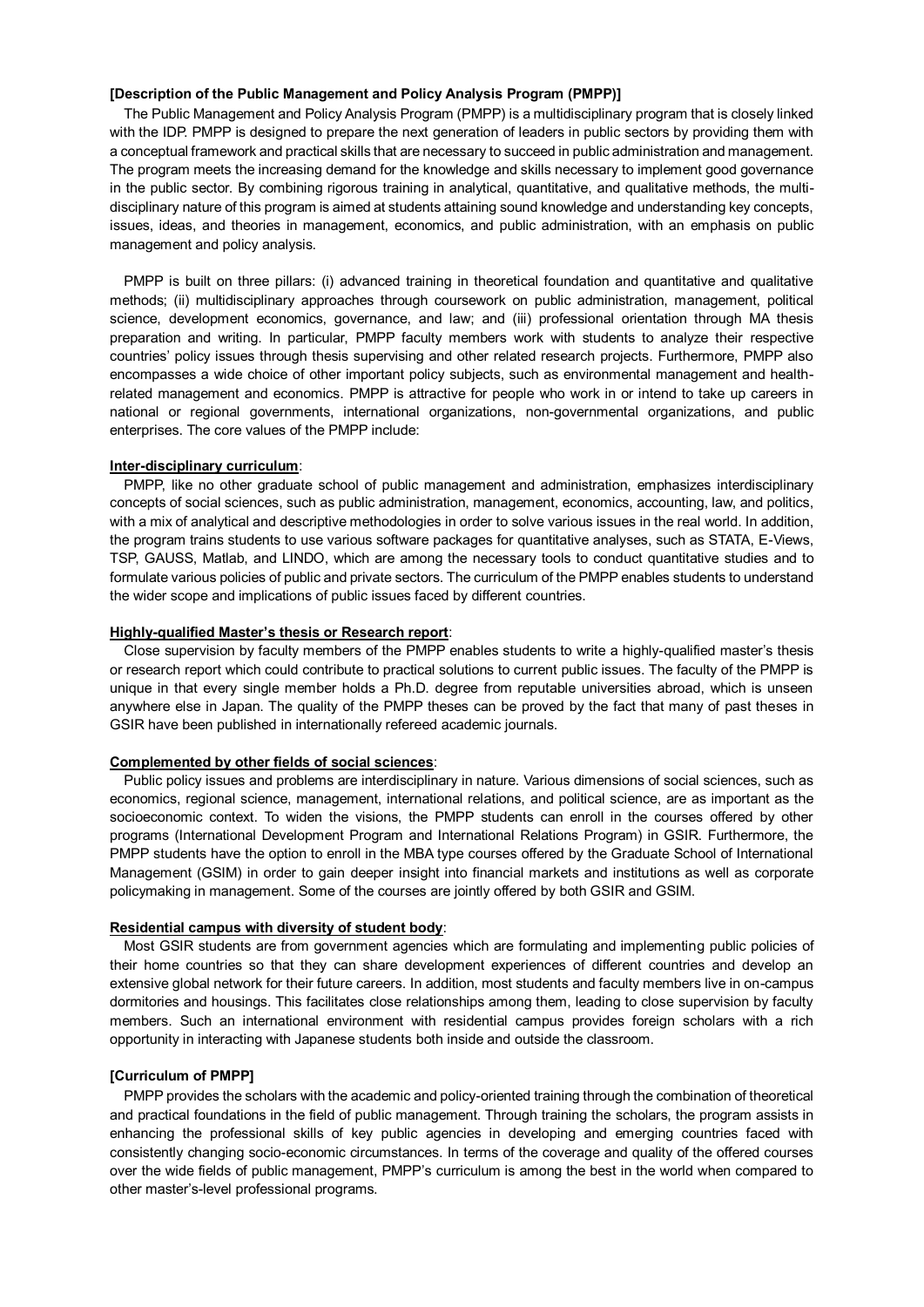#### **[Description of the Public Management and Policy Analysis Program (PMPP)]**

The Public Management and Policy Analysis Program (PMPP) is a multidisciplinary program that is closely linked with the IDP. PMPP is designed to prepare the next generation of leaders in public sectors by providing them with a conceptual framework and practical skills that are necessary to succeed in public administration and management. The program meets the increasing demand for the knowledge and skills necessary to implement good governance in the public sector. By combining rigorous training in analytical, quantitative, and qualitative methods, the multidisciplinary nature of this program is aimed at students attaining sound knowledge and understanding key concepts, issues, ideas, and theories in management, economics, and public administration, with an emphasis on public management and policy analysis.

PMPP is built on three pillars: (i) advanced training in theoretical foundation and quantitative and qualitative methods; (ii) multidisciplinary approaches through coursework on public administration, management, political science, development economics, governance, and law; and (iii) professional orientation through MA thesis preparation and writing. In particular, PMPP faculty members work with students to analyze their respective countries' policy issues through thesis supervising and other related research projects. Furthermore, PMPP also encompasses a wide choice of other important policy subjects, such as environmental management and healthrelated management and economics. PMPP is attractive for people who work in or intend to take up careers in national or regional governments, international organizations, non-governmental organizations, and public enterprises. The core values of the PMPP include:

## **Inter-disciplinary curriculum**:

PMPP, like no other graduate school of public management and administration, emphasizes interdisciplinary concepts of social sciences, such as public administration, management, economics, accounting, law, and politics, with a mix of analytical and descriptive methodologies in order to solve various issues in the real world. In addition, the program trains students to use various software packages for quantitative analyses, such as STATA, E-Views, TSP, GAUSS, Matlab, and LINDO, which are among the necessary tools to conduct quantitative studies and to formulate various policies of public and private sectors. The curriculum of the PMPP enables students to understand the wider scope and implications of public issues faced by different countries.

### **Highly-qualified Master's thesis or Research report**:

Close supervision by faculty members of the PMPP enables students to write a highly-qualified master's thesis or research report which could contribute to practical solutions to current public issues. The faculty of the PMPP is unique in that every single member holds a Ph.D. degree from reputable universities abroad, which is unseen anywhere else in Japan. The quality of the PMPP theses can be proved by the fact that many of past theses in GSIR have been published in internationally refereed academic journals.

## **Complemented by other fields of social sciences**:

Public policy issues and problems are interdisciplinary in nature. Various dimensions of social sciences, such as economics, regional science, management, international relations, and political science, are as important as the socioeconomic context. To widen the visions, the PMPP students can enroll in the courses offered by other programs (International Development Program and International Relations Program) in GSIR. Furthermore, the PMPP students have the option to enroll in the MBA type courses offered by the Graduate School of International Management (GSIM) in order to gain deeper insight into financial markets and institutions as well as corporate policymaking in management. Some of the courses are jointly offered by both GSIR and GSIM.

## **Residential campus with diversity of student body**:

Most GSIR students are from government agencies which are formulating and implementing public policies of their home countries so that they can share development experiences of different countries and develop an extensive global network for their future careers. In addition, most students and faculty members live in on-campus dormitories and housings. This facilitates close relationships among them, leading to close supervision by faculty members. Such an international environment with residential campus provides foreign scholars with a rich opportunity in interacting with Japanese students both inside and outside the classroom.

#### **[Curriculum of PMPP]**

PMPP provides the scholars with the academic and policy-oriented training through the combination of theoretical and practical foundations in the field of public management. Through training the scholars, the program assists in enhancing the professional skills of key public agencies in developing and emerging countries faced with consistently changing socio-economic circumstances. In terms of the coverage and quality of the offered courses over the wide fields of public management, PMPP's curriculum is among the best in the world when compared to other master's-level professional programs.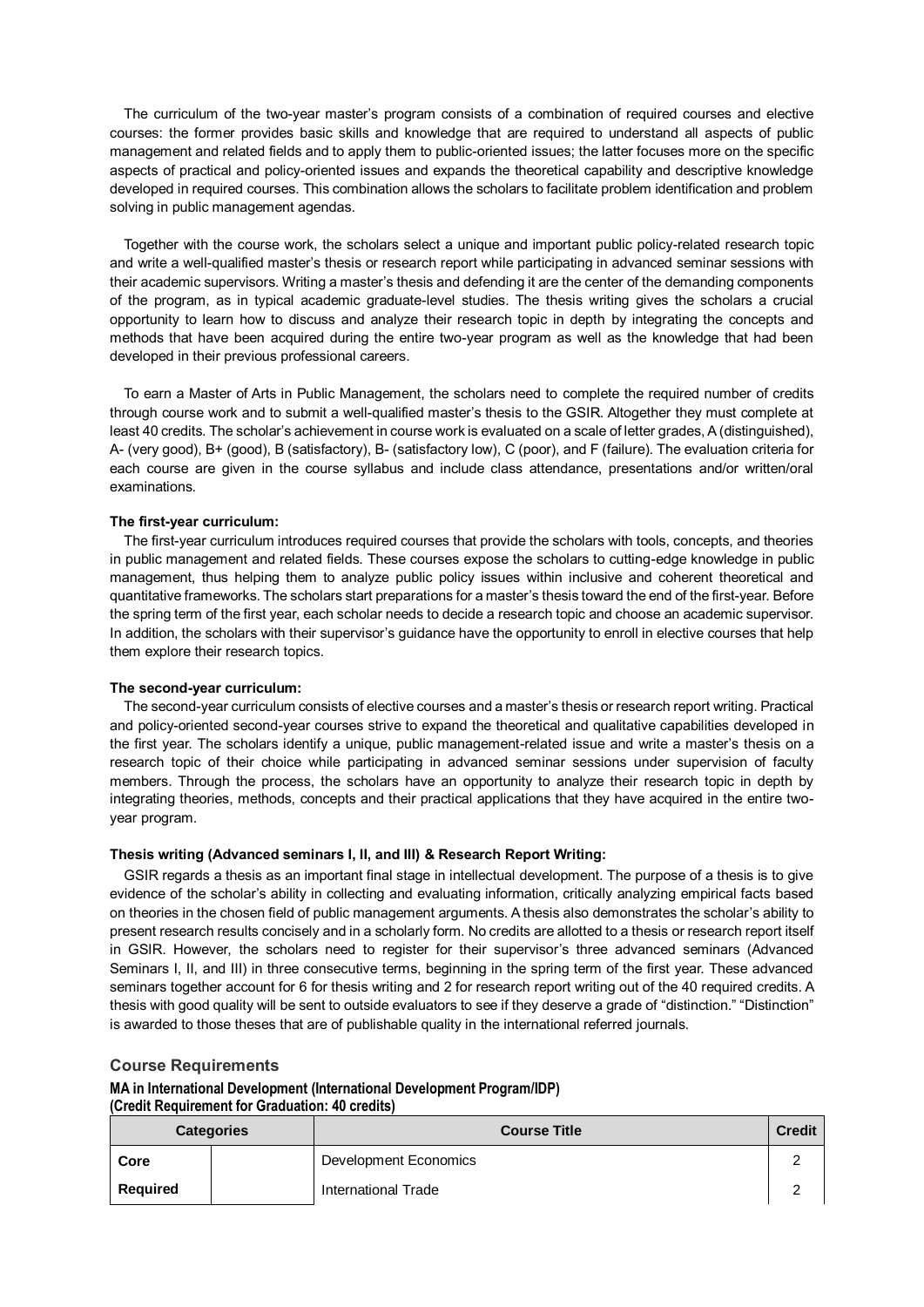The curriculum of the two-year master's program consists of a combination of required courses and elective courses: the former provides basic skills and knowledge that are required to understand all aspects of public management and related fields and to apply them to public-oriented issues; the latter focuses more on the specific aspects of practical and policy-oriented issues and expands the theoretical capability and descriptive knowledge developed in required courses. This combination allows the scholars to facilitate problem identification and problem solving in public management agendas.

Together with the course work, the scholars select a unique and important public policy-related research topic and write a well-qualified master's thesis or research report while participating in advanced seminar sessions with their academic supervisors. Writing a master's thesis and defending it are the center of the demanding components of the program, as in typical academic graduate-level studies. The thesis writing gives the scholars a crucial opportunity to learn how to discuss and analyze their research topic in depth by integrating the concepts and methods that have been acquired during the entire two-year program as well as the knowledge that had been developed in their previous professional careers.

To earn a Master of Arts in Public Management, the scholars need to complete the required number of credits through course work and to submit a well-qualified master's thesis to the GSIR. Altogether they must complete at least 40 credits. The scholar's achievement in course work is evaluated on a scale of letter grades, A (distinguished), A- (very good), B+ (good), B (satisfactory), B- (satisfactory low), C (poor), and F (failure). The evaluation criteria for each course are given in the course syllabus and include class attendance, presentations and/or written/oral examinations.

### **The first-year curriculum:**

The first-year curriculum introduces required courses that provide the scholars with tools, concepts, and theories in public management and related fields. These courses expose the scholars to cutting-edge knowledge in public management, thus helping them to analyze public policy issues within inclusive and coherent theoretical and quantitative frameworks. The scholars start preparations for a master's thesis toward the end of the first-year. Before the spring term of the first year, each scholar needs to decide a research topic and choose an academic supervisor. In addition, the scholars with their supervisor's guidance have the opportunity to enroll in elective courses that help them explore their research topics.

#### **The second-year curriculum:**

The second-year curriculum consists of elective courses and a master's thesis or research report writing. Practical and policy-oriented second-year courses strive to expand the theoretical and qualitative capabilities developed in the first year. The scholars identify a unique, public management-related issue and write a master's thesis on a research topic of their choice while participating in advanced seminar sessions under supervision of faculty members. Through the process, the scholars have an opportunity to analyze their research topic in depth by integrating theories, methods, concepts and their practical applications that they have acquired in the entire twoyear program.

## **Thesis writing (Advanced seminars I, II, and III) & Research Report Writing:**

GSIR regards a thesis as an important final stage in intellectual development. The purpose of a thesis is to give evidence of the scholar's ability in collecting and evaluating information, critically analyzing empirical facts based on theories in the chosen field of public management arguments. A thesis also demonstrates the scholar's ability to present research results concisely and in a scholarly form. No credits are allotted to a thesis or research report itself in GSIR. However, the scholars need to register for their supervisor's three advanced seminars (Advanced Seminars I, II, and III) in three consecutive terms, beginning in the spring term of the first year. These advanced seminars together account for 6 for thesis writing and 2 for research report writing out of the 40 required credits. A thesis with good quality will be sent to outside evaluators to see if they deserve a grade of "distinction." "Distinction" is awarded to those theses that are of publishable quality in the international referred journals.

#### **Course Requirements**

**MA in International Development (International Development Program/IDP) (Credit Requirement for Graduation: 40 credits)**

|          | <b>Categories</b> | <b>Course Title</b>   | <b>Credit</b> |
|----------|-------------------|-----------------------|---------------|
| Core     |                   | Development Economics | ⌒             |
| Required |                   | International Trade   |               |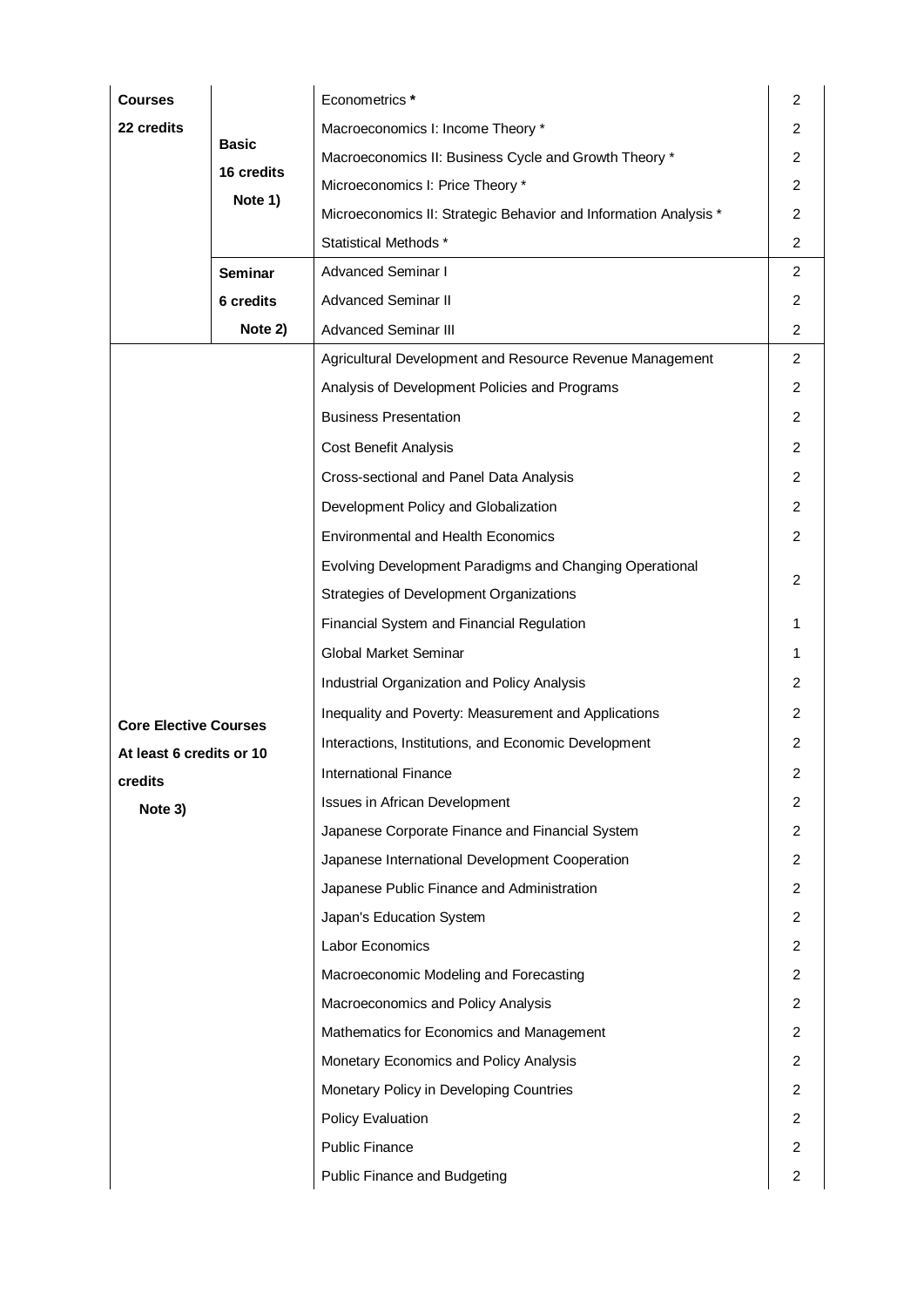| <b>Courses</b>               |                       | Econometrics *                                                   | $\overline{2}$ |
|------------------------------|-----------------------|------------------------------------------------------------------|----------------|
| 22 credits                   |                       | Macroeconomics I: Income Theory *                                | 2              |
|                              | <b>Basic</b>          | Macroeconomics II: Business Cycle and Growth Theory *            | 2              |
|                              | 16 credits<br>Note 1) | Microeconomics I: Price Theory *                                 | 2              |
|                              |                       | Microeconomics II: Strategic Behavior and Information Analysis * | 2              |
|                              |                       | Statistical Methods *                                            | $\overline{c}$ |
|                              | <b>Seminar</b>        | <b>Advanced Seminar I</b>                                        | 2              |
|                              | 6 credits             | <b>Advanced Seminar II</b>                                       | 2              |
|                              | Note 2)               | <b>Advanced Seminar III</b>                                      | $\overline{c}$ |
|                              |                       | Agricultural Development and Resource Revenue Management         | 2              |
|                              |                       | Analysis of Development Policies and Programs                    | 2              |
|                              |                       | <b>Business Presentation</b>                                     | 2              |
|                              |                       | Cost Benefit Analysis                                            | 2              |
|                              |                       | Cross-sectional and Panel Data Analysis                          | 2              |
|                              |                       | Development Policy and Globalization                             | 2              |
|                              |                       | <b>Environmental and Health Economics</b>                        | $\overline{c}$ |
|                              |                       | Evolving Development Paradigms and Changing Operational          |                |
|                              |                       | Strategies of Development Organizations                          | 2              |
|                              |                       | Financial System and Financial Regulation                        | 1              |
|                              |                       | Global Market Seminar                                            | 1              |
|                              |                       | Industrial Organization and Policy Analysis                      | 2              |
| <b>Core Elective Courses</b> |                       | Inequality and Poverty: Measurement and Applications             | 2              |
| At least 6 credits or 10     |                       | Interactions, Institutions, and Economic Development             | 2              |
| credits                      |                       | <b>International Finance</b>                                     | 2              |
| Note 3)                      |                       | Issues in African Development                                    | 2              |
|                              |                       | Japanese Corporate Finance and Financial System                  | $\overline{c}$ |
|                              |                       | Japanese International Development Cooperation                   | $\overline{c}$ |
|                              |                       | Japanese Public Finance and Administration                       | 2              |
|                              |                       | Japan's Education System                                         | 2              |
|                              |                       | Labor Economics                                                  | 2              |
|                              |                       | Macroeconomic Modeling and Forecasting                           | $\overline{c}$ |
|                              |                       | Macroeconomics and Policy Analysis                               | 2              |
|                              |                       | Mathematics for Economics and Management                         | 2              |
|                              |                       | Monetary Economics and Policy Analysis                           | 2              |
|                              |                       | Monetary Policy in Developing Countries                          | $\overline{c}$ |
|                              |                       | <b>Policy Evaluation</b>                                         | $\overline{2}$ |
|                              |                       | <b>Public Finance</b>                                            | 2              |
|                              |                       | Public Finance and Budgeting                                     | 2              |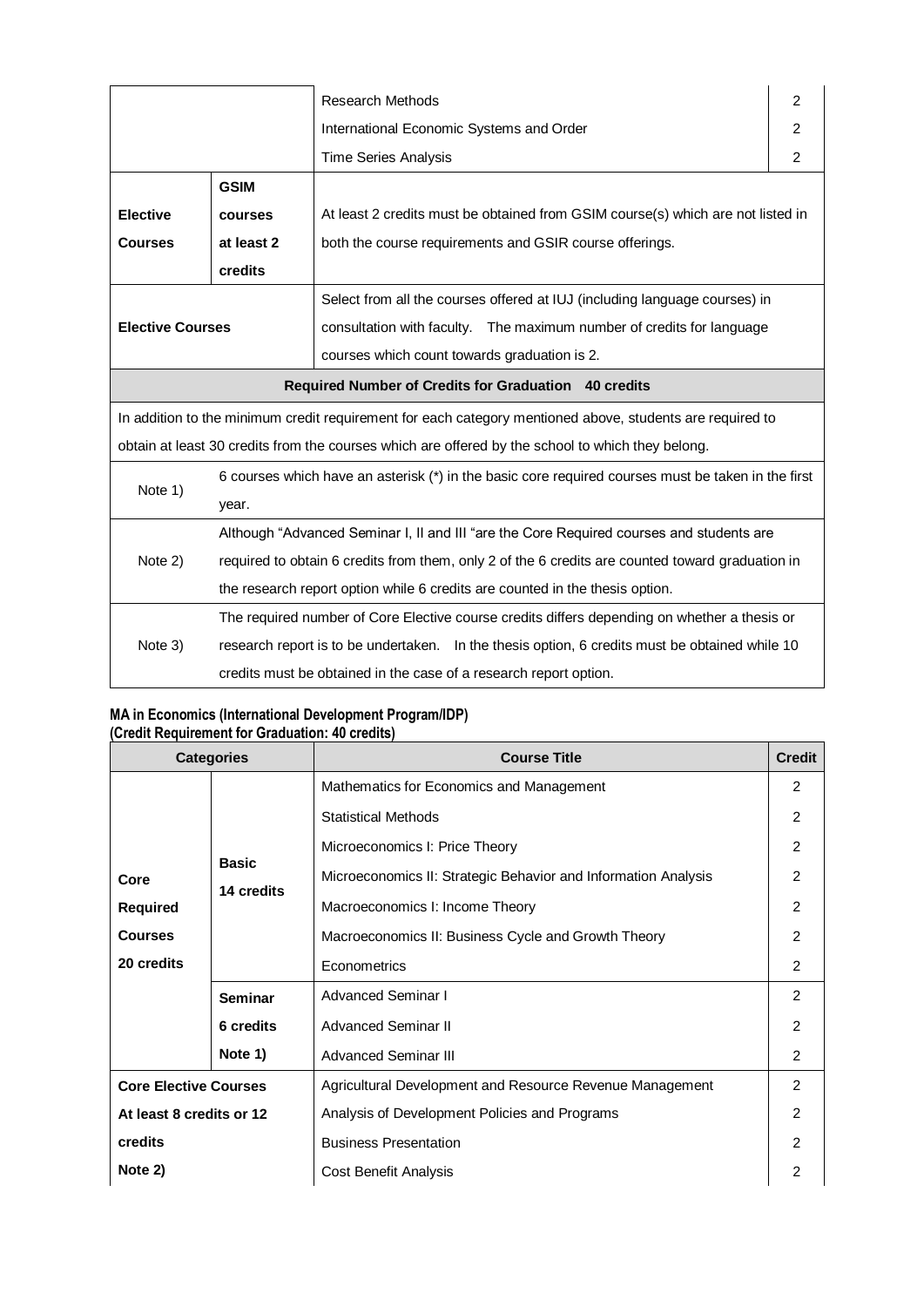|                                                                                                           |                                                                                                  | <b>Research Methods</b>                                                                            | 2 |  |
|-----------------------------------------------------------------------------------------------------------|--------------------------------------------------------------------------------------------------|----------------------------------------------------------------------------------------------------|---|--|
|                                                                                                           |                                                                                                  | International Economic Systems and Order                                                           | 2 |  |
|                                                                                                           |                                                                                                  | <b>Time Series Analysis</b>                                                                        | 2 |  |
|                                                                                                           | <b>GSIM</b>                                                                                      |                                                                                                    |   |  |
| <b>Elective</b>                                                                                           | courses                                                                                          | At least 2 credits must be obtained from GSIM course(s) which are not listed in                    |   |  |
| <b>Courses</b>                                                                                            | at least 2                                                                                       | both the course requirements and GSIR course offerings.                                            |   |  |
|                                                                                                           | credits                                                                                          |                                                                                                    |   |  |
| <b>Elective Courses</b>                                                                                   |                                                                                                  | Select from all the courses offered at IUJ (including language courses) in                         |   |  |
|                                                                                                           |                                                                                                  | consultation with faculty. The maximum number of credits for language                              |   |  |
|                                                                                                           |                                                                                                  | courses which count towards graduation is 2.                                                       |   |  |
| Required Number of Credits for Graduation 40 credits                                                      |                                                                                                  |                                                                                                    |   |  |
| In addition to the minimum credit requirement for each category mentioned above, students are required to |                                                                                                  |                                                                                                    |   |  |
| obtain at least 30 credits from the courses which are offered by the school to which they belong.         |                                                                                                  |                                                                                                    |   |  |
|                                                                                                           |                                                                                                  | 6 courses which have an asterisk (*) in the basic core required courses must be taken in the first |   |  |
| Note 1)                                                                                                   | year.                                                                                            |                                                                                                    |   |  |
|                                                                                                           | Although "Advanced Seminar I, II and III "are the Core Required courses and students are         |                                                                                                    |   |  |
| Note 2)                                                                                                   | required to obtain 6 credits from them, only 2 of the 6 credits are counted toward graduation in |                                                                                                    |   |  |
|                                                                                                           | the research report option while 6 credits are counted in the thesis option.                     |                                                                                                    |   |  |
|                                                                                                           |                                                                                                  | The required number of Core Elective course credits differs depending on whether a thesis or       |   |  |
| Note 3)                                                                                                   | research report is to be undertaken. In the thesis option, 6 credits must be obtained while 10   |                                                                                                    |   |  |
|                                                                                                           |                                                                                                  | credits must be obtained in the case of a research report option.                                  |   |  |

## **MA in Economics (International Development Program/IDP) (Credit Requirement for Graduation: 40 credits)**

| <b>Categories</b>            |                      | <b>Course Title</b>                                            | <b>Credit</b> |
|------------------------------|----------------------|----------------------------------------------------------------|---------------|
|                              |                      | Mathematics for Economics and Management                       | $\mathcal{P}$ |
|                              |                      | <b>Statistical Methods</b>                                     | $\mathcal{P}$ |
|                              |                      | Microeconomics I: Price Theory                                 | 2             |
| Core                         | <b>Basic</b>         | Microeconomics II: Strategic Behavior and Information Analysis | $\mathcal{P}$ |
| <b>Required</b>              | 14 credits           | Macroeconomics I: Income Theory                                | 2             |
| <b>Courses</b>               | <b>Seminar</b>       | Macroeconomics II: Business Cycle and Growth Theory            | 2             |
| 20 credits                   |                      | Econometrics                                                   | 2             |
|                              |                      | Advanced Seminar I                                             | 2             |
|                              | 6 credits            | <b>Advanced Seminar II</b>                                     | 2             |
| Note 1)                      | Advanced Seminar III | 2                                                              |               |
| <b>Core Elective Courses</b> |                      | Agricultural Development and Resource Revenue Management       | $\mathcal{P}$ |
| At least 8 credits or 12     |                      | Analysis of Development Policies and Programs                  | 2             |
| credits                      |                      | <b>Business Presentation</b>                                   | 2             |
| Note 2)                      |                      | Cost Benefit Analysis                                          | 2             |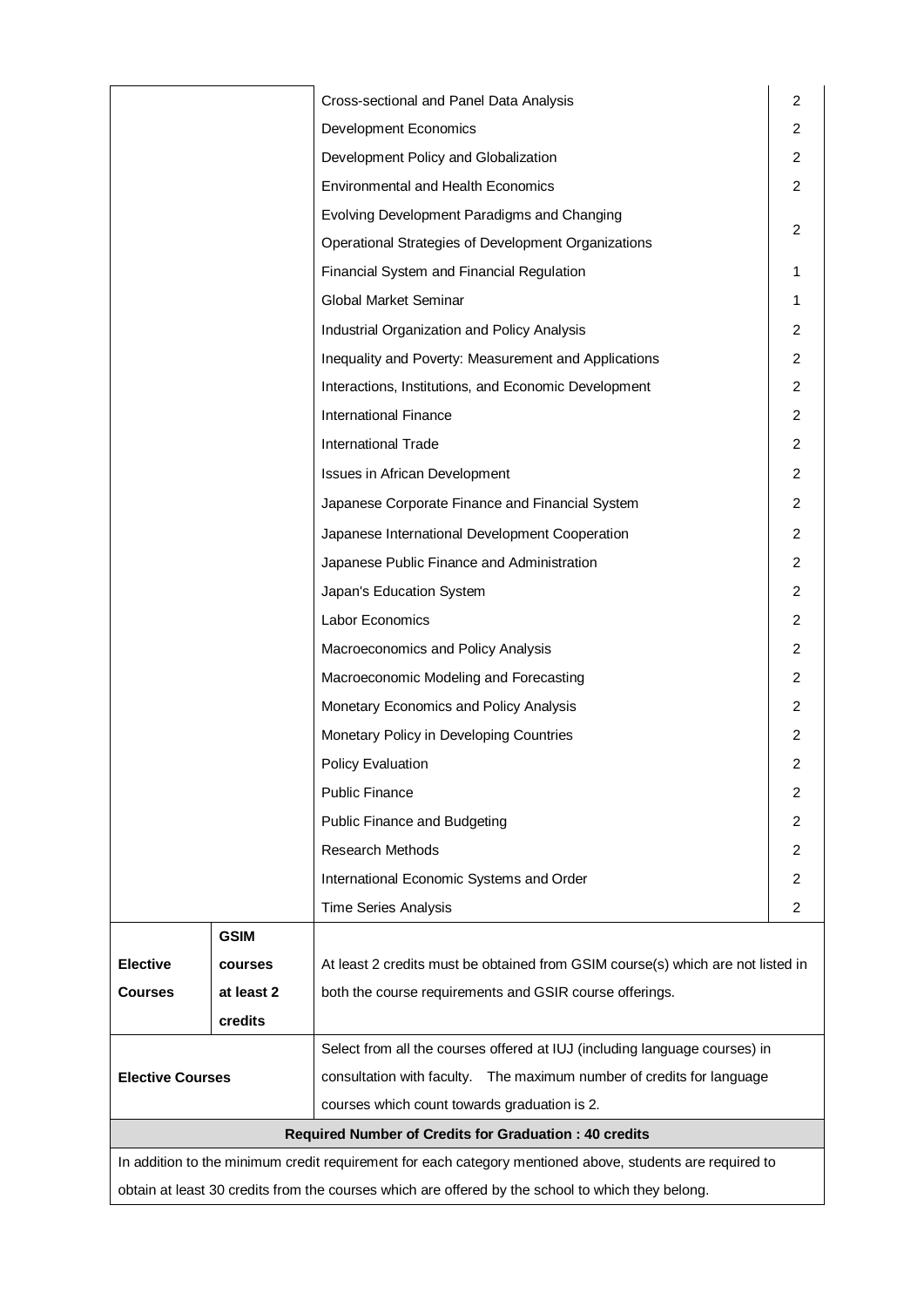|                                                                                                           |                | Cross-sectional and Panel Data Analysis                                         | 2              |
|-----------------------------------------------------------------------------------------------------------|----------------|---------------------------------------------------------------------------------|----------------|
|                                                                                                           |                | <b>Development Economics</b>                                                    | 2              |
|                                                                                                           |                | Development Policy and Globalization                                            | 2              |
|                                                                                                           |                | <b>Environmental and Health Economics</b>                                       | $\overline{2}$ |
|                                                                                                           |                | Evolving Development Paradigms and Changing                                     |                |
|                                                                                                           |                | Operational Strategies of Development Organizations                             | 2              |
|                                                                                                           |                | Financial System and Financial Regulation                                       |                |
|                                                                                                           |                | Global Market Seminar                                                           |                |
|                                                                                                           |                | Industrial Organization and Policy Analysis                                     | 2              |
|                                                                                                           |                | Inequality and Poverty: Measurement and Applications                            | $\overline{c}$ |
|                                                                                                           |                | Interactions, Institutions, and Economic Development                            | 2              |
|                                                                                                           |                | <b>International Finance</b>                                                    | 2              |
|                                                                                                           |                | <b>International Trade</b>                                                      | 2              |
|                                                                                                           |                | Issues in African Development                                                   | 2              |
|                                                                                                           |                | Japanese Corporate Finance and Financial System                                 | 2              |
|                                                                                                           |                | Japanese International Development Cooperation                                  | 2              |
|                                                                                                           |                | Japanese Public Finance and Administration                                      | 2              |
|                                                                                                           |                | Japan's Education System                                                        | $\overline{2}$ |
|                                                                                                           |                | Labor Economics                                                                 | 2              |
|                                                                                                           |                | Macroeconomics and Policy Analysis                                              | 2              |
|                                                                                                           |                | Macroeconomic Modeling and Forecasting                                          | 2              |
|                                                                                                           |                | Monetary Economics and Policy Analysis                                          | 2              |
|                                                                                                           |                | Monetary Policy in Developing Countries                                         | 2              |
|                                                                                                           |                | <b>Policy Evaluation</b>                                                        | 2              |
|                                                                                                           |                | <b>Public Finance</b>                                                           | 2              |
|                                                                                                           |                | Public Finance and Budgeting                                                    | 2              |
|                                                                                                           |                | Research Methods                                                                | 2              |
|                                                                                                           |                | International Economic Systems and Order                                        | 2              |
|                                                                                                           |                | <b>Time Series Analysis</b>                                                     | 2              |
|                                                                                                           | <b>GSIM</b>    |                                                                                 |                |
| <b>Elective</b>                                                                                           | <b>courses</b> | At least 2 credits must be obtained from GSIM course(s) which are not listed in |                |
| <b>Courses</b>                                                                                            | at least 2     | both the course requirements and GSIR course offerings.                         |                |
|                                                                                                           | credits        |                                                                                 |                |
|                                                                                                           |                | Select from all the courses offered at IUJ (including language courses) in      |                |
| <b>Elective Courses</b>                                                                                   |                | consultation with faculty. The maximum number of credits for language           |                |
|                                                                                                           |                | courses which count towards graduation is 2.                                    |                |
|                                                                                                           |                | <b>Required Number of Credits for Graduation: 40 credits</b>                    |                |
| In addition to the minimum credit requirement for each category mentioned above, students are required to |                |                                                                                 |                |
| obtain at least 30 credits from the courses which are offered by the school to which they belong.         |                |                                                                                 |                |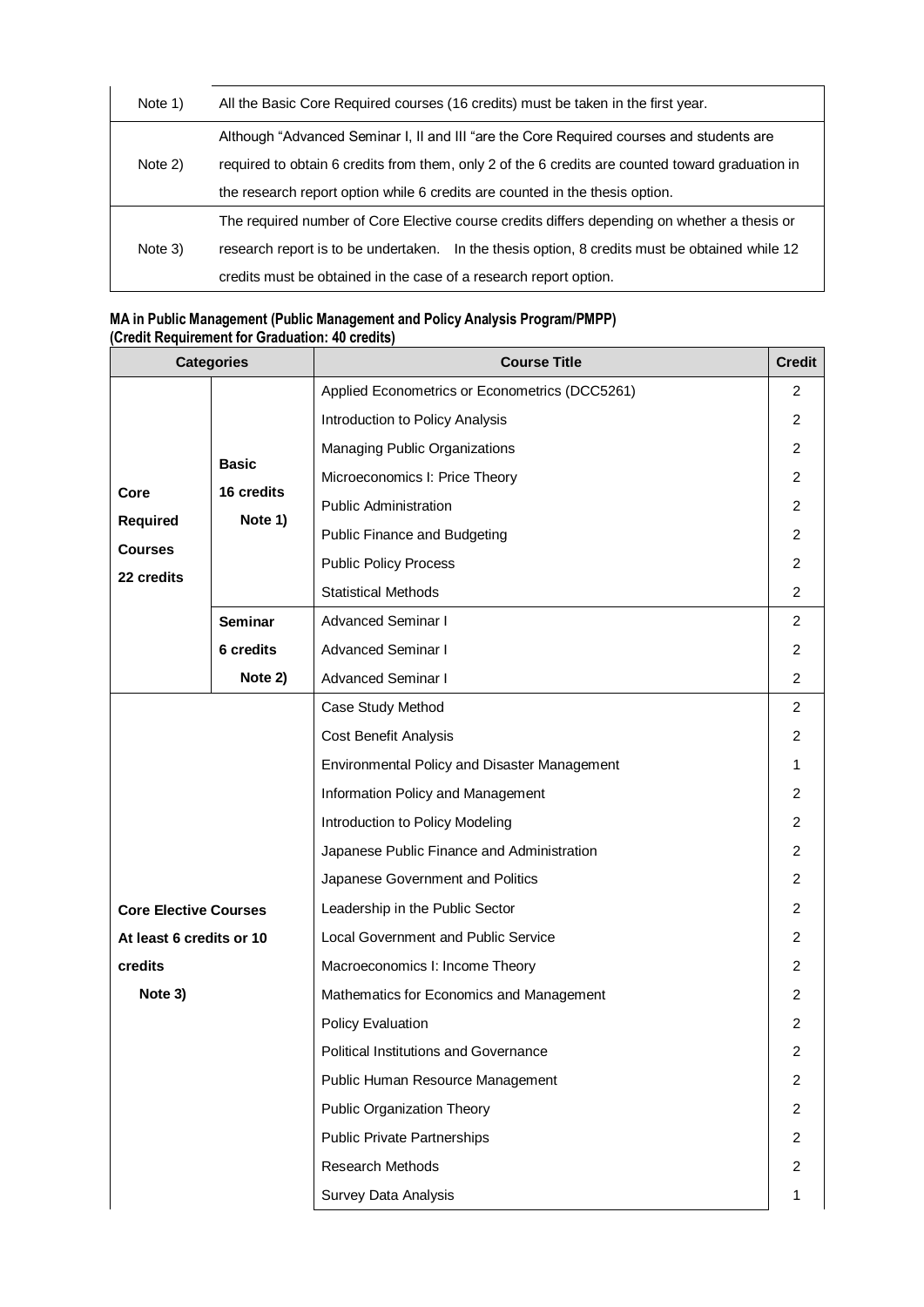| Note 1) | All the Basic Core Required courses (16 credits) must be taken in the first year.                |  |  |  |
|---------|--------------------------------------------------------------------------------------------------|--|--|--|
| Note 2) | Although "Advanced Seminar I, II and III "are the Core Required courses and students are         |  |  |  |
|         | required to obtain 6 credits from them, only 2 of the 6 credits are counted toward graduation in |  |  |  |
|         | the research report option while 6 credits are counted in the thesis option.                     |  |  |  |
| Note 3) | The required number of Core Elective course credits differs depending on whether a thesis or     |  |  |  |
|         | research report is to be undertaken. In the thesis option, 8 credits must be obtained while 12   |  |  |  |
|         | credits must be obtained in the case of a research report option.                                |  |  |  |

## **MA in Public Management (Public Management and Policy Analysis Program/PMPP) (Credit Requirement for Graduation: 40 credits)**

|                              | <b>Categories</b> | <b>Course Title</b>                            | <b>Credit</b>           |
|------------------------------|-------------------|------------------------------------------------|-------------------------|
|                              | <b>Basic</b>      | Applied Econometrics or Econometrics (DCC5261) | 2                       |
|                              |                   | Introduction to Policy Analysis                | 2                       |
|                              |                   | Managing Public Organizations                  | $\overline{2}$          |
|                              |                   | Microeconomics I: Price Theory                 | 2                       |
| Core                         | 16 credits        | <b>Public Administration</b>                   | 2                       |
| <b>Required</b>              | Note 1)           | Public Finance and Budgeting                   | 2                       |
| <b>Courses</b><br>22 credits |                   | <b>Public Policy Process</b>                   | 2                       |
|                              |                   | <b>Statistical Methods</b>                     | $\overline{2}$          |
|                              | <b>Seminar</b>    | <b>Advanced Seminar I</b>                      | $\overline{2}$          |
|                              | 6 credits         | <b>Advanced Seminar I</b>                      | $\overline{2}$          |
|                              | Note 2)           | <b>Advanced Seminar I</b>                      | 2                       |
|                              |                   | Case Study Method                              | $\overline{2}$          |
|                              |                   | <b>Cost Benefit Analysis</b>                   | 2                       |
|                              |                   | Environmental Policy and Disaster Management   |                         |
|                              |                   | Information Policy and Management              | 2                       |
|                              |                   | Introduction to Policy Modeling                | 2                       |
|                              |                   | Japanese Public Finance and Administration     | 2                       |
|                              |                   | Japanese Government and Politics               | $\overline{2}$          |
| <b>Core Elective Courses</b> |                   | Leadership in the Public Sector                | 2                       |
| At least 6 credits or 10     |                   | <b>Local Government and Public Service</b>     | 2                       |
| credits                      |                   | Macroeconomics I: Income Theory                | 2                       |
| Note 3)                      |                   | Mathematics for Economics and Management       | 2                       |
|                              |                   | <b>Policy Evaluation</b>                       | 2                       |
|                              |                   | <b>Political Institutions and Governance</b>   | $\overline{\mathbf{c}}$ |
|                              |                   | Public Human Resource Management               | $\overline{2}$          |
|                              |                   | <b>Public Organization Theory</b>              | $\overline{2}$          |
|                              |                   | <b>Public Private Partnerships</b>             | $\overline{2}$          |
|                              |                   | Research Methods                               | $\overline{2}$          |
|                              |                   | Survey Data Analysis                           | 1                       |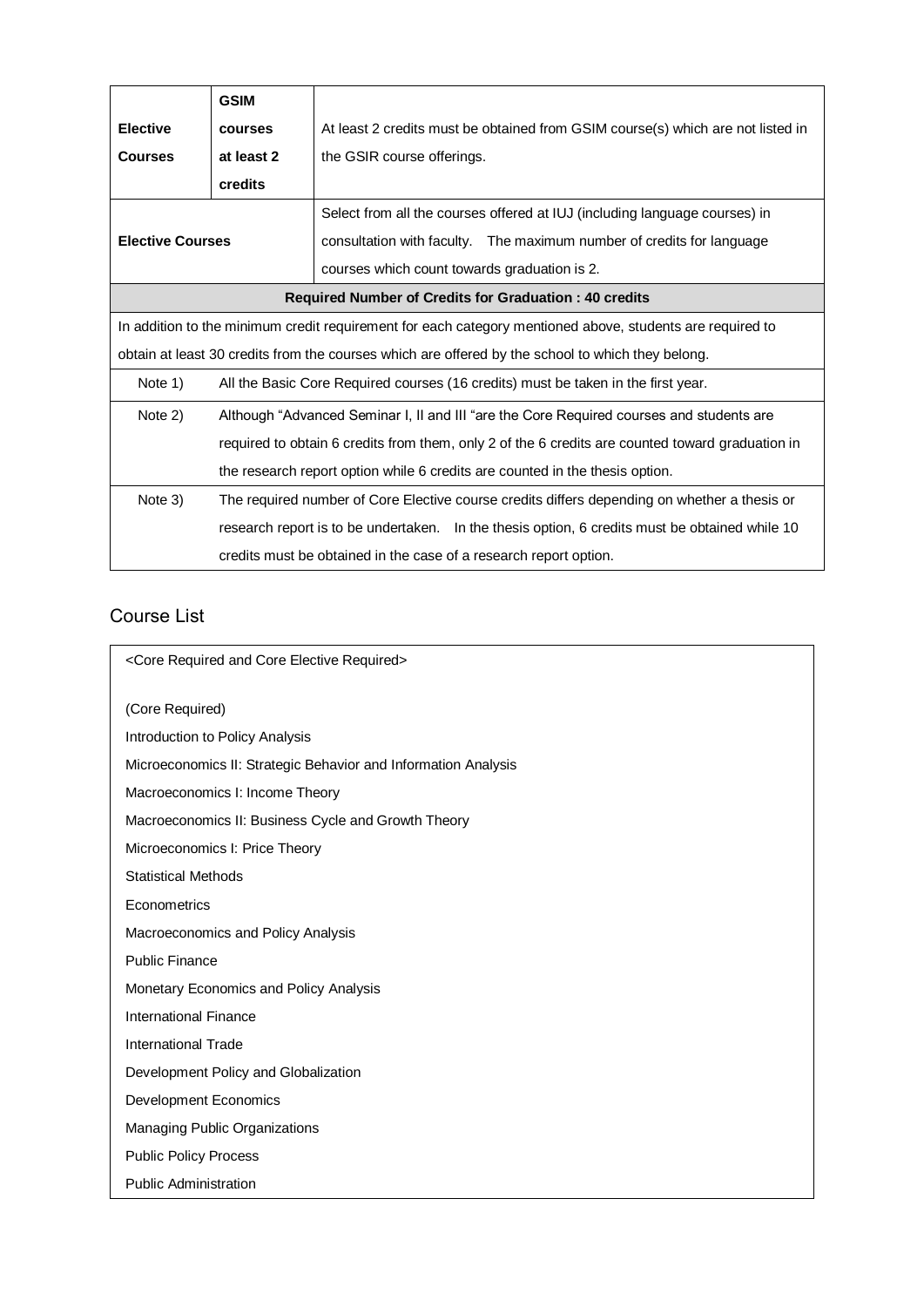|                                                                                                           | <b>GSIM</b>                                                                                      |                                                                                                |  |
|-----------------------------------------------------------------------------------------------------------|--------------------------------------------------------------------------------------------------|------------------------------------------------------------------------------------------------|--|
| <b>Elective</b>                                                                                           | courses                                                                                          | At least 2 credits must be obtained from GSIM course(s) which are not listed in                |  |
| <b>Courses</b>                                                                                            | at least 2                                                                                       | the GSIR course offerings.                                                                     |  |
|                                                                                                           | credits                                                                                          |                                                                                                |  |
| <b>Elective Courses</b>                                                                                   |                                                                                                  | Select from all the courses offered at IUJ (including language courses) in                     |  |
|                                                                                                           |                                                                                                  | consultation with faculty.  The maximum number of credits for language                         |  |
|                                                                                                           |                                                                                                  | courses which count towards graduation is 2.                                                   |  |
|                                                                                                           |                                                                                                  | <b>Required Number of Credits for Graduation: 40 credits</b>                                   |  |
| In addition to the minimum credit requirement for each category mentioned above, students are required to |                                                                                                  |                                                                                                |  |
| obtain at least 30 credits from the courses which are offered by the school to which they belong.         |                                                                                                  |                                                                                                |  |
| Note 1)                                                                                                   |                                                                                                  | All the Basic Core Required courses (16 credits) must be taken in the first year.              |  |
| Note 2)                                                                                                   | Although "Advanced Seminar I, II and III "are the Core Required courses and students are         |                                                                                                |  |
|                                                                                                           | required to obtain 6 credits from them, only 2 of the 6 credits are counted toward graduation in |                                                                                                |  |
|                                                                                                           |                                                                                                  | the research report option while 6 credits are counted in the thesis option.                   |  |
| Note 3)                                                                                                   |                                                                                                  | The required number of Core Elective course credits differs depending on whether a thesis or   |  |
|                                                                                                           |                                                                                                  | research report is to be undertaken. In the thesis option, 6 credits must be obtained while 10 |  |
|                                                                                                           | credits must be obtained in the case of a research report option.                                |                                                                                                |  |

# Course List

| <core and="" core="" elective="" required=""></core>           |  |
|----------------------------------------------------------------|--|
| (Core Required)                                                |  |
| Introduction to Policy Analysis                                |  |
| Microeconomics II: Strategic Behavior and Information Analysis |  |
| Macroeconomics I: Income Theory                                |  |
| Macroeconomics II: Business Cycle and Growth Theory            |  |
| Microeconomics I: Price Theory                                 |  |
| <b>Statistical Methods</b>                                     |  |
| Econometrics                                                   |  |
| Macroeconomics and Policy Analysis                             |  |
| <b>Public Finance</b>                                          |  |
| Monetary Economics and Policy Analysis                         |  |
| International Finance                                          |  |
| <b>International Trade</b>                                     |  |
| Development Policy and Globalization                           |  |
| <b>Development Economics</b>                                   |  |
| Managing Public Organizations                                  |  |
| <b>Public Policy Process</b>                                   |  |
| <b>Public Administration</b>                                   |  |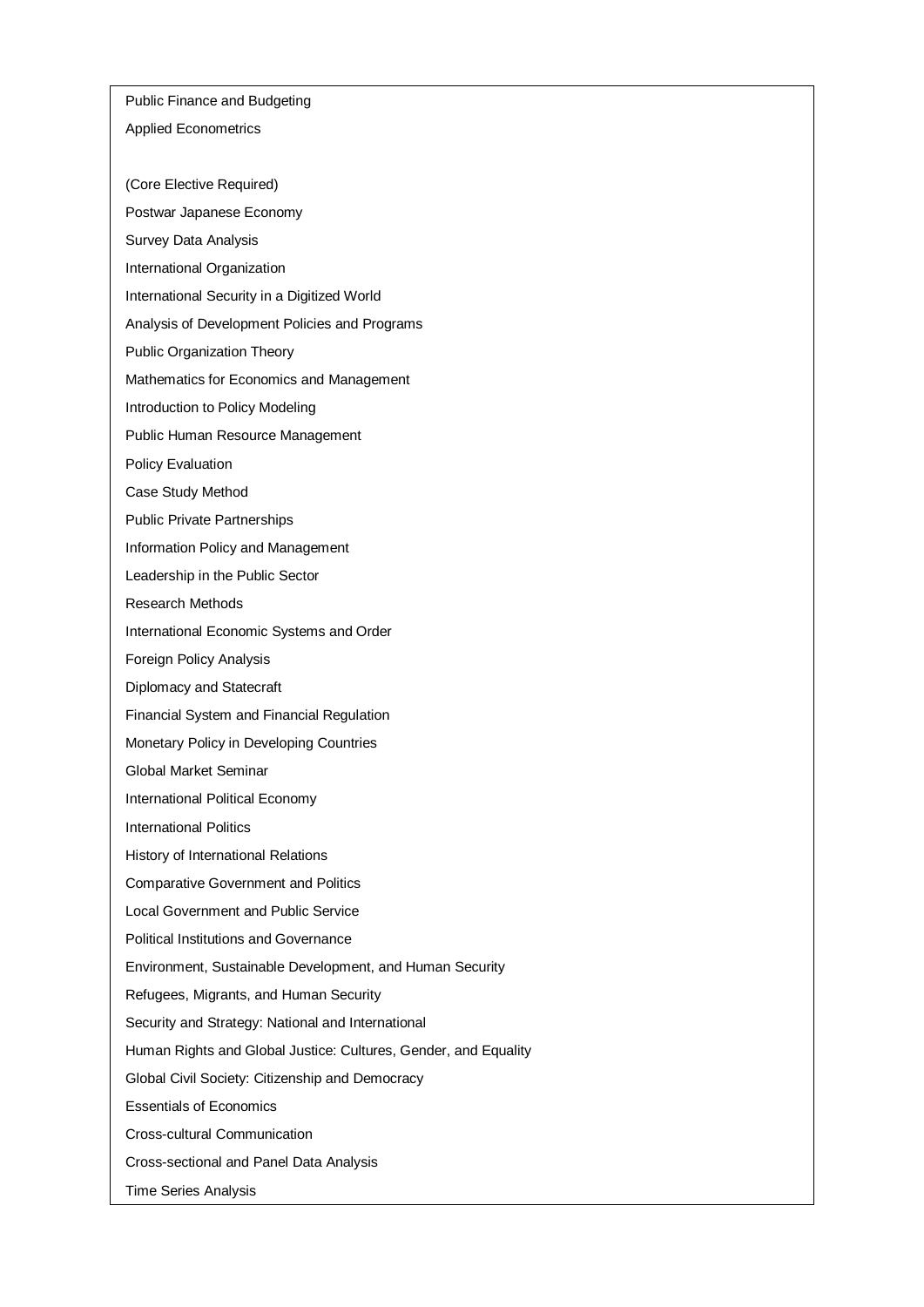Public Finance and Budgeting

## Applied Econometrics

- (Core Elective Required)
- Postwar Japanese Economy
- Survey Data Analysis
- International Organization
- International Security in a Digitized World
- Analysis of Development Policies and Programs
- Public Organization Theory
- Mathematics for Economics and Management
- Introduction to Policy Modeling
- Public Human Resource Management
- Policy Evaluation
- Case Study Method
- Public Private Partnerships
- Information Policy and Management
- Leadership in the Public Sector
- Research Methods
- International Economic Systems and Order
- Foreign Policy Analysis
- Diplomacy and Statecraft
- Financial System and Financial Regulation
- Monetary Policy in Developing Countries
- Global Market Seminar
- International Political Economy
- International Politics
- History of International Relations
- Comparative Government and Politics
- Local Government and Public Service
- Political Institutions and Governance
- Environment, Sustainable Development, and Human Security
- Refugees, Migrants, and Human Security
- Security and Strategy: National and International
- Human Rights and Global Justice: Cultures, Gender, and Equality
- Global Civil Society: Citizenship and Democracy
- Essentials of Economics
- Cross-cultural Communication
- Cross-sectional and Panel Data Analysis
- Time Series Analysis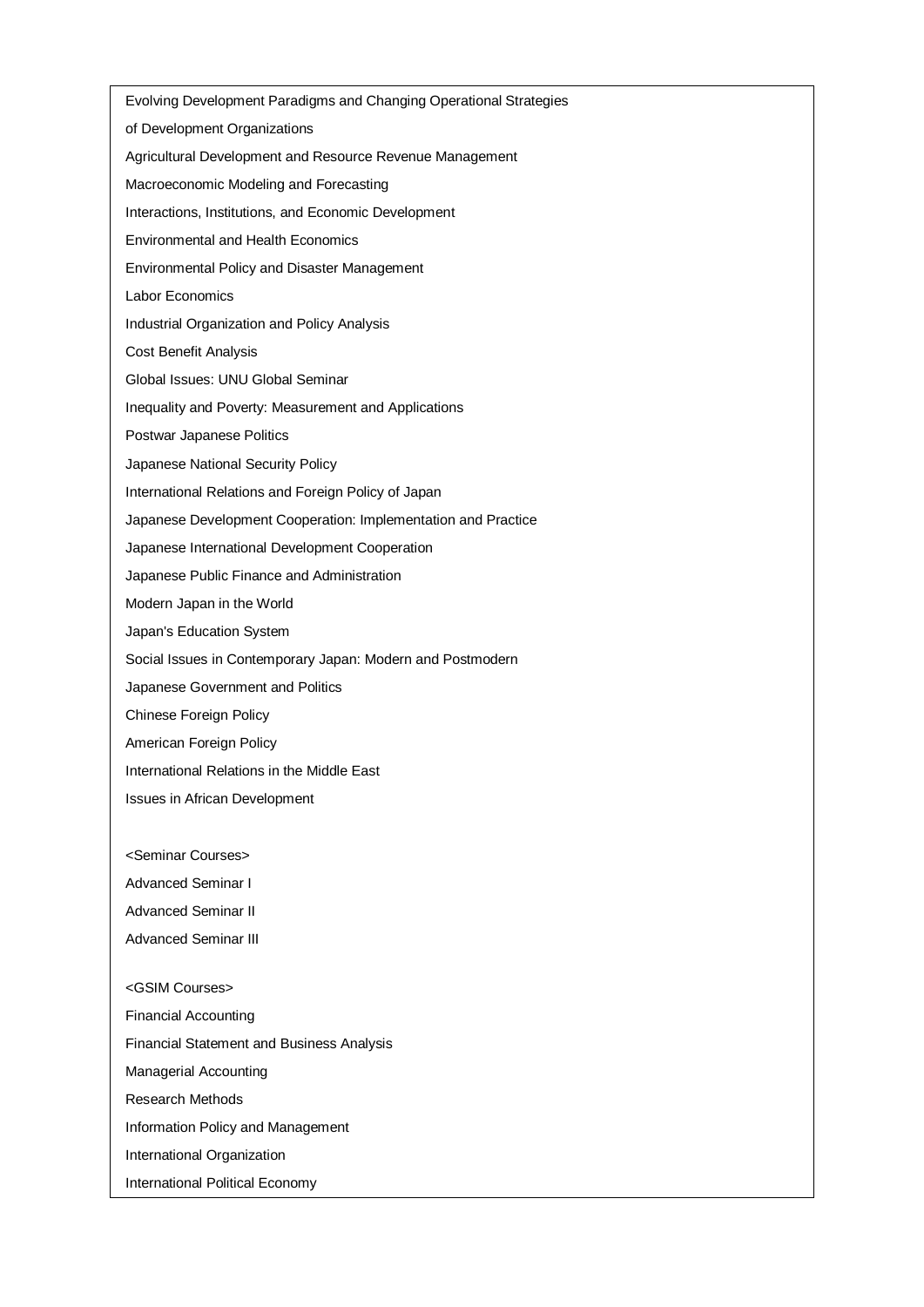Evolving Development Paradigms and Changing Operational Strategies of Development Organizations Agricultural Development and Resource Revenue Management Macroeconomic Modeling and Forecasting Interactions, Institutions, and Economic Development Environmental and Health Economics Environmental Policy and Disaster Management Labor Economics Industrial Organization and Policy Analysis Cost Benefit Analysis Global Issues: UNU Global Seminar Inequality and Poverty: Measurement and Applications Postwar Japanese Politics Japanese National Security Policy International Relations and Foreign Policy of Japan Japanese Development Cooperation: Implementation and Practice Japanese International Development Cooperation Japanese Public Finance and Administration Modern Japan in the World Japan's Education System Social Issues in Contemporary Japan: Modern and Postmodern Japanese Government and Politics Chinese Foreign Policy American Foreign Policy International Relations in the Middle East Issues in African Development <Seminar Courses> Advanced Seminar I Advanced Seminar II Advanced Seminar III <GSIM Courses> Financial Accounting Financial Statement and Business Analysis Managerial Accounting Research Methods Information Policy and Management International Organization International Political Economy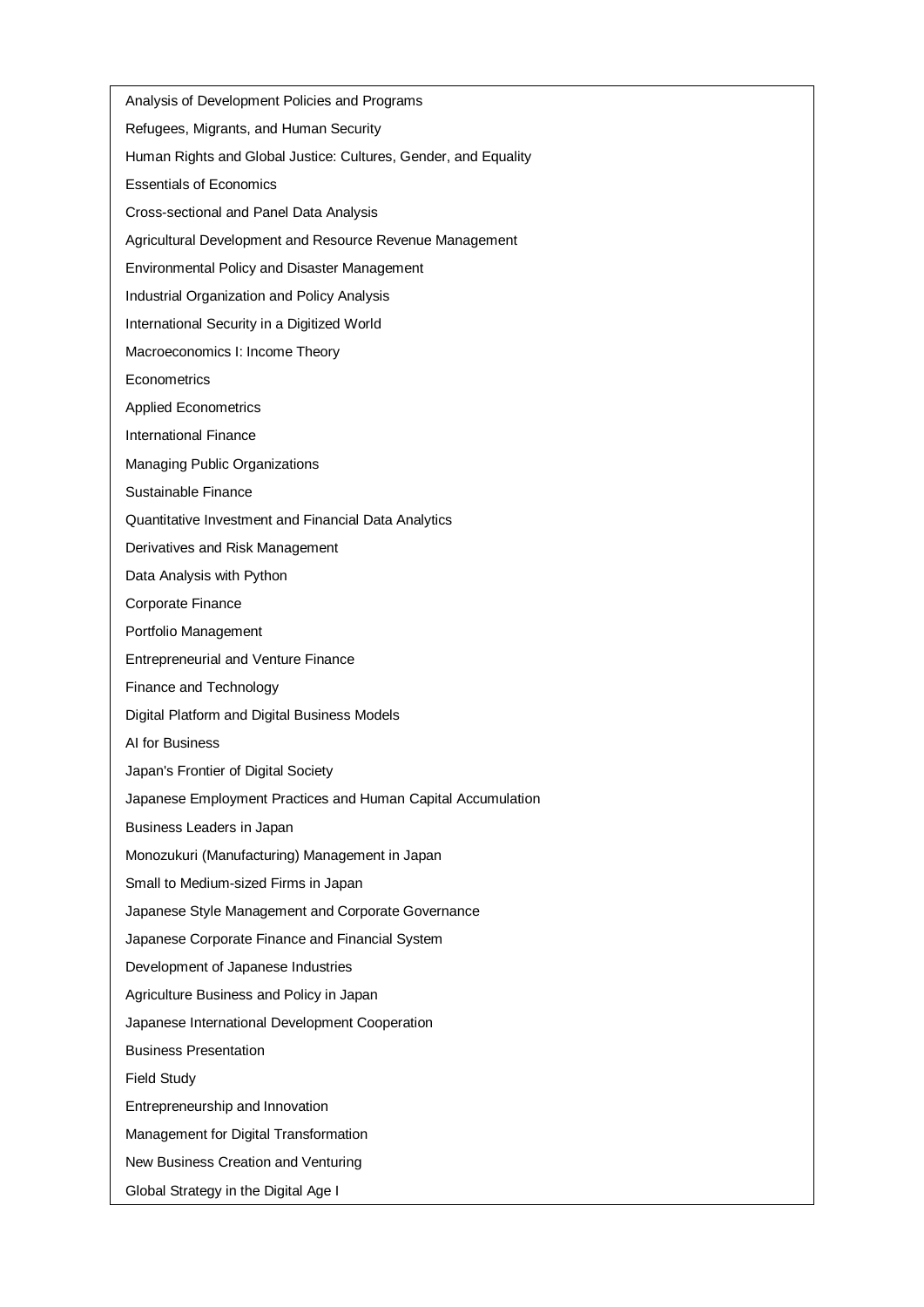Analysis of Development Policies and Programs Refugees, Migrants, and Human Security Human Rights and Global Justice: Cultures, Gender, and Equality Essentials of Economics Cross-sectional and Panel Data Analysis Agricultural Development and Resource Revenue Management Environmental Policy and Disaster Management Industrial Organization and Policy Analysis International Security in a Digitized World Macroeconomics I: Income Theory **Econometrics** Applied Econometrics International Finance Managing Public Organizations Sustainable Finance Quantitative Investment and Financial Data Analytics Derivatives and Risk Management Data Analysis with Python Corporate Finance Portfolio Management Entrepreneurial and Venture Finance Finance and Technology Digital Platform and Digital Business Models AI for Business Japan's Frontier of Digital Society Japanese Employment Practices and Human Capital Accumulation Business Leaders in Japan Monozukuri (Manufacturing) Management in Japan Small to Medium-sized Firms in Japan Japanese Style Management and Corporate Governance Japanese Corporate Finance and Financial System Development of Japanese Industries Agriculture Business and Policy in Japan Japanese International Development Cooperation Business Presentation Field Study Entrepreneurship and Innovation Management for Digital Transformation New Business Creation and Venturing Global Strategy in the Digital Age I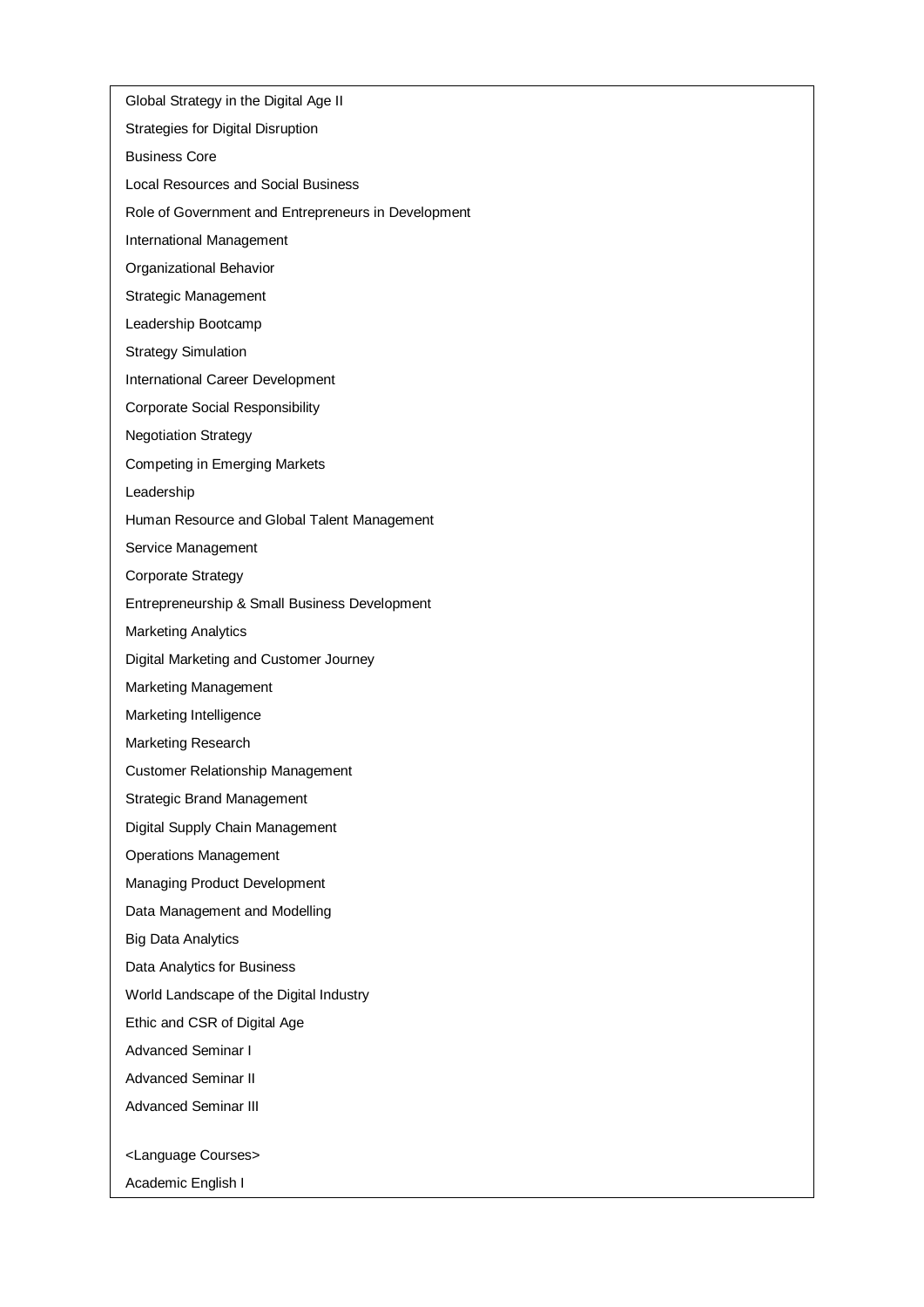Global Strategy in the Digital Age II Strategies for Digital Disruption Business Core Local Resources and Social Business Role of Government and Entrepreneurs in Development International Management Organizational Behavior Strategic Management Leadership Bootcamp Strategy Simulation International Career Development Corporate Social Responsibility Negotiation Strategy Competing in Emerging Markets Leadership Human Resource and Global Talent Management Service Management Corporate Strategy Entrepreneurship & Small Business Development Marketing Analytics Digital Marketing and Customer Journey Marketing Management Marketing Intelligence Marketing Research Customer Relationship Management Strategic Brand Management Digital Supply Chain Management Operations Management Managing Product Development Data Management and Modelling Big Data Analytics Data Analytics for Business World Landscape of the Digital Industry Ethic and CSR of Digital Age Advanced Seminar I Advanced Seminar II Advanced Seminar III <Language Courses> Academic English I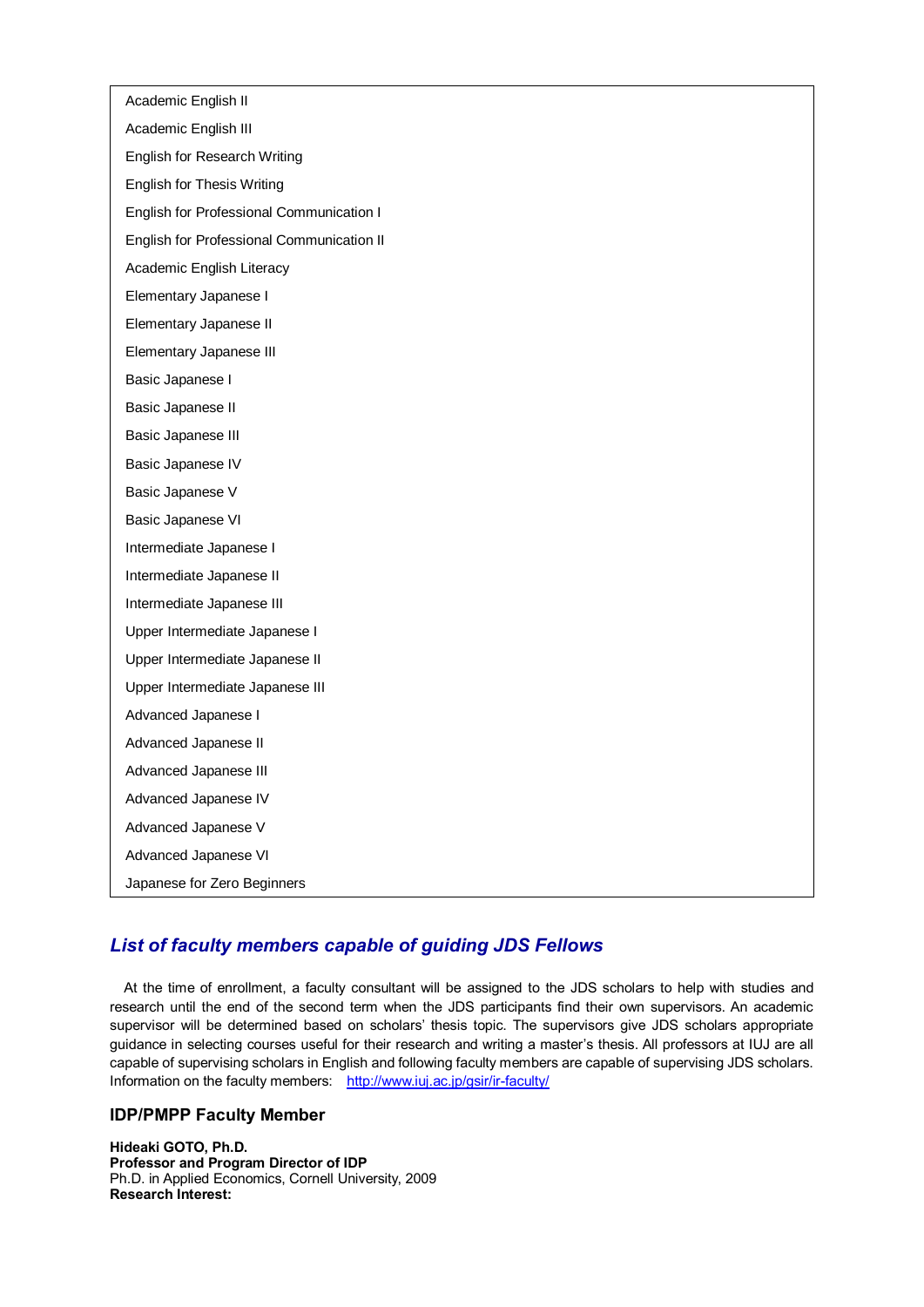Academic English II Academic English III English for Research Writing English for Thesis Writing English for Professional Communication I English for Professional Communication II Academic English Literacy Elementary Japanese I Elementary Japanese II Elementary Japanese III Basic Japanese I Basic Japanese II Basic Japanese III Basic Japanese IV Basic Japanese V Basic Japanese VI Intermediate Japanese I Intermediate Japanese II Intermediate Japanese III Upper Intermediate Japanese I Upper Intermediate Japanese II Upper Intermediate Japanese III Advanced Japanese I Advanced Japanese II Advanced Japanese III Advanced Japanese IV Advanced Japanese V Advanced Japanese VI Japanese for Zero Beginners

## *List of faculty members capable of guiding JDS Fellows*

At the time of enrollment, a faculty consultant will be assigned to the JDS scholars to help with studies and research until the end of the second term when the JDS participants find their own supervisors. An academic supervisor will be determined based on scholars' thesis topic. The supervisors give JDS scholars appropriate guidance in selecting courses useful for their research and writing a master's thesis. All professors at IUJ are all capable of supervising scholars in English and following faculty members are capable of supervising JDS scholars. Information on the faculty members: <http://www.iuj.ac.jp/gsir/ir-faculty/>

## **IDP/PMPP Faculty Member**

**Hideaki GOTO, Ph.D. Professor and Program Director of IDP** Ph.D. in Applied Economics, Cornell University, 2009 **Research Interest:**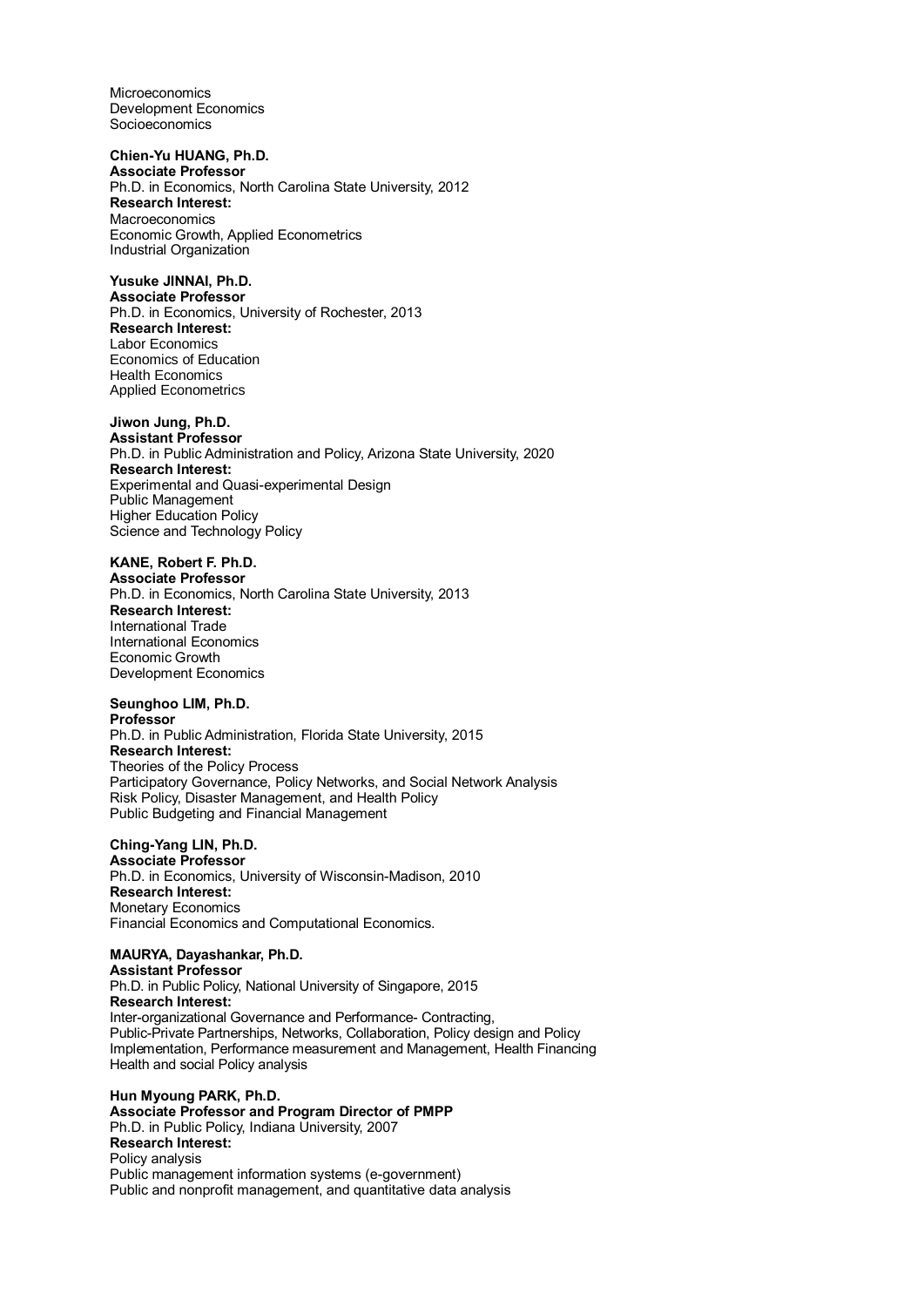Microeconomics Development Economics Socioeconomics

## **Chien-Yu HUANG, Ph.D.**

**Associate Professor** Ph.D. in Economics, North Carolina State University, 2012 **Research Interest:** Macroeconomics Economic Growth, Applied Econometrics Industrial Organization

## **Yusuke JINNAI, Ph.D.**

**Associate Professor** Ph.D. in Economics, University of Rochester, 2013 **Research Interest:** Labor Economics Economics of Education Health Economics Applied Econometrics

## **Jiwon Jung, Ph.D.**

**Assistant Professor** Ph.D. in Public Administration and Policy, Arizona State University, 2020 **Research Interest:** Experimental and Quasi-experimental Design Public Management Higher Education Policy Science and Technology Policy

## **KANE, Robert F. Ph.D.**

**Associate Professor** Ph.D. in Economics, North Carolina State University, 2013 **Research Interest:** International Trade International Economics Economic Growth Development Economics

#### **Seunghoo LIM, Ph.D.**

**Professor** Ph.D. in Public Administration, Florida State University, 2015 **Research Interest:** Theories of the Policy Process Participatory Governance, Policy Networks, and Social Network Analysis Risk Policy, Disaster Management, and Health Policy Public Budgeting and Financial Management

## **Ching-Yang LIN, Ph.D.**

**Associate Professor** Ph.D. in Economics, University of Wisconsin-Madison, 2010 **Research Interest:** Monetary Economics Financial Economics and Computational Economics.

## **MAURYA, Dayashankar, Ph.D.**

**Assistant Professor** Ph.D. in Public Policy, National University of Singapore, 2015 **Research Interest:** Inter-organizational Governance and Performance- Contracting, Public-Private Partnerships, Networks, Collaboration, Policy design and Policy Implementation, Performance measurement and Management, Health Financing Health and social Policy analysis

**Hun Myoung PARK, Ph.D. Associate Professor and Program Director of PMPP** Ph.D. in Public Policy, Indiana University, 2007 **Research Interest:** Policy analysis Public management information systems (e-government) Public and nonprofit management, and quantitative data analysis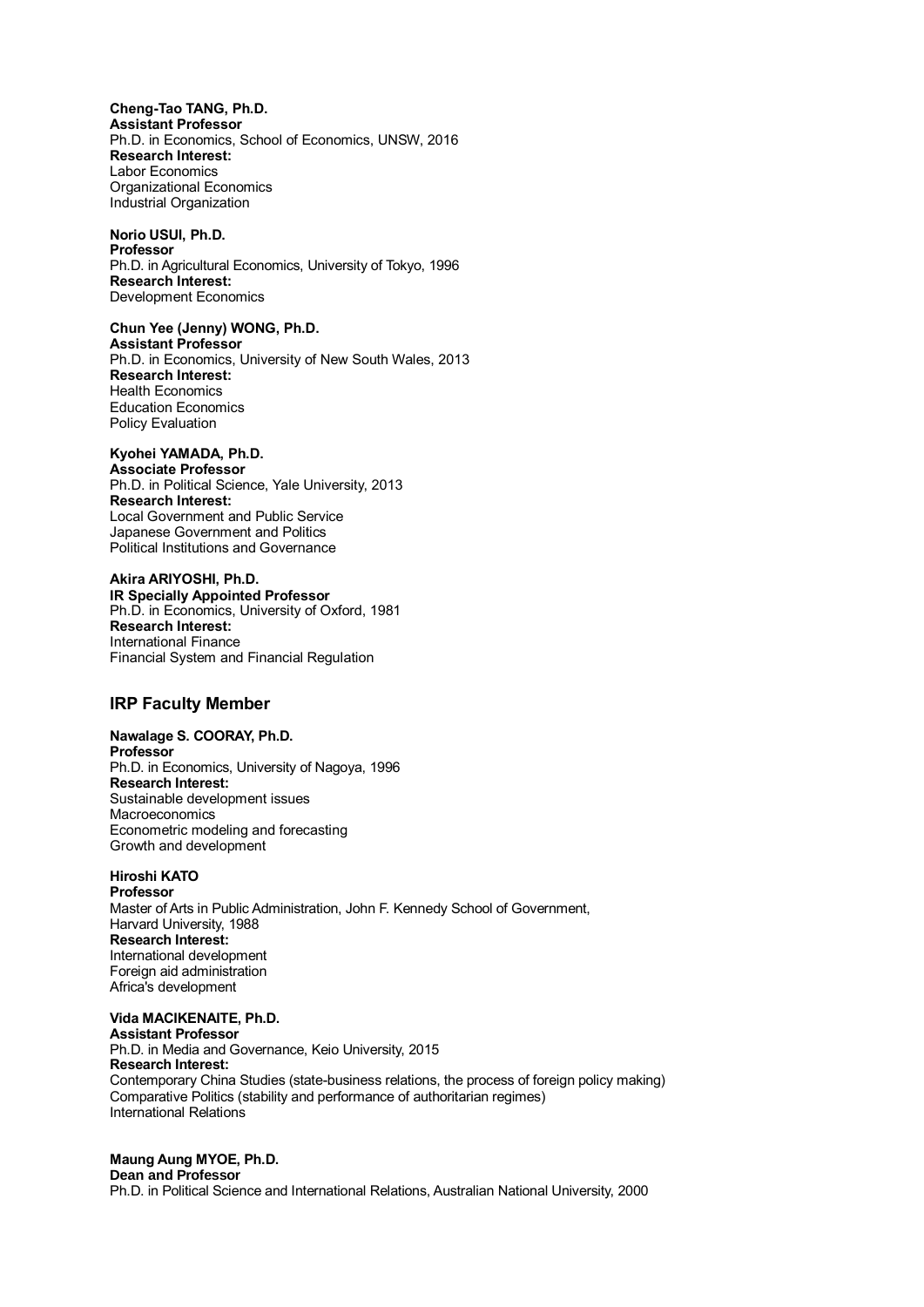**Cheng-Tao TANG, Ph.D. Assistant Professor** Ph.D. in Economics, School of Economics, UNSW, 2016 **Research Interest:** Labor Economics Organizational Economics Industrial Organization

**Norio USUI, Ph.D. Professor** Ph.D. in Agricultural Economics, University of Tokyo, 1996 **Research Interest:** Development Economics

**Chun Yee (Jenny) WONG, Ph.D. Assistant Professor** Ph.D. in Economics, University of New South Wales, 2013 **Research Interest:** Health Economics Education Economics Policy Evaluation

#### **Kyohei YAMADA, Ph.D. Associate Professor** Ph.D. in Political Science, Yale University, 2013 **Research Interest:** Local Government and Public Service Japanese Government and Politics Political Institutions and Governance

**Akira ARIYOSHI, Ph.D. IR Specially Appointed Professor** Ph.D. in Economics, University of Oxford, 1981 **Research Interest:** International Finance Financial System and Financial Regulation

## **IRP Faculty Member**

**Nawalage S. COORAY, Ph.D. Professor** Ph.D. in Economics, University of Nagoya, 1996 **Research Interest:** Sustainable development issues Macroeconomics Econometric modeling and forecasting Growth and development

#### **Hiroshi KATO Professor**

Master of Arts in Public Administration, John F. Kennedy School of Government, Harvard University, 1988 **Research Interest:** International development Foreign aid administration Africa's development

## **Vida MACIKENAITE, Ph.D.**

**Assistant Professor** Ph.D. in Media and Governance, Keio University, 2015 **Research Interest:** Contemporary China Studies (state-business relations, the process of foreign policy making) Comparative Politics (stability and performance of authoritarian regimes) International Relations

## **Maung Aung MYOE, Ph.D.**

### **Dean and Professor**

Ph.D. in Political Science and International Relations, Australian National University, 2000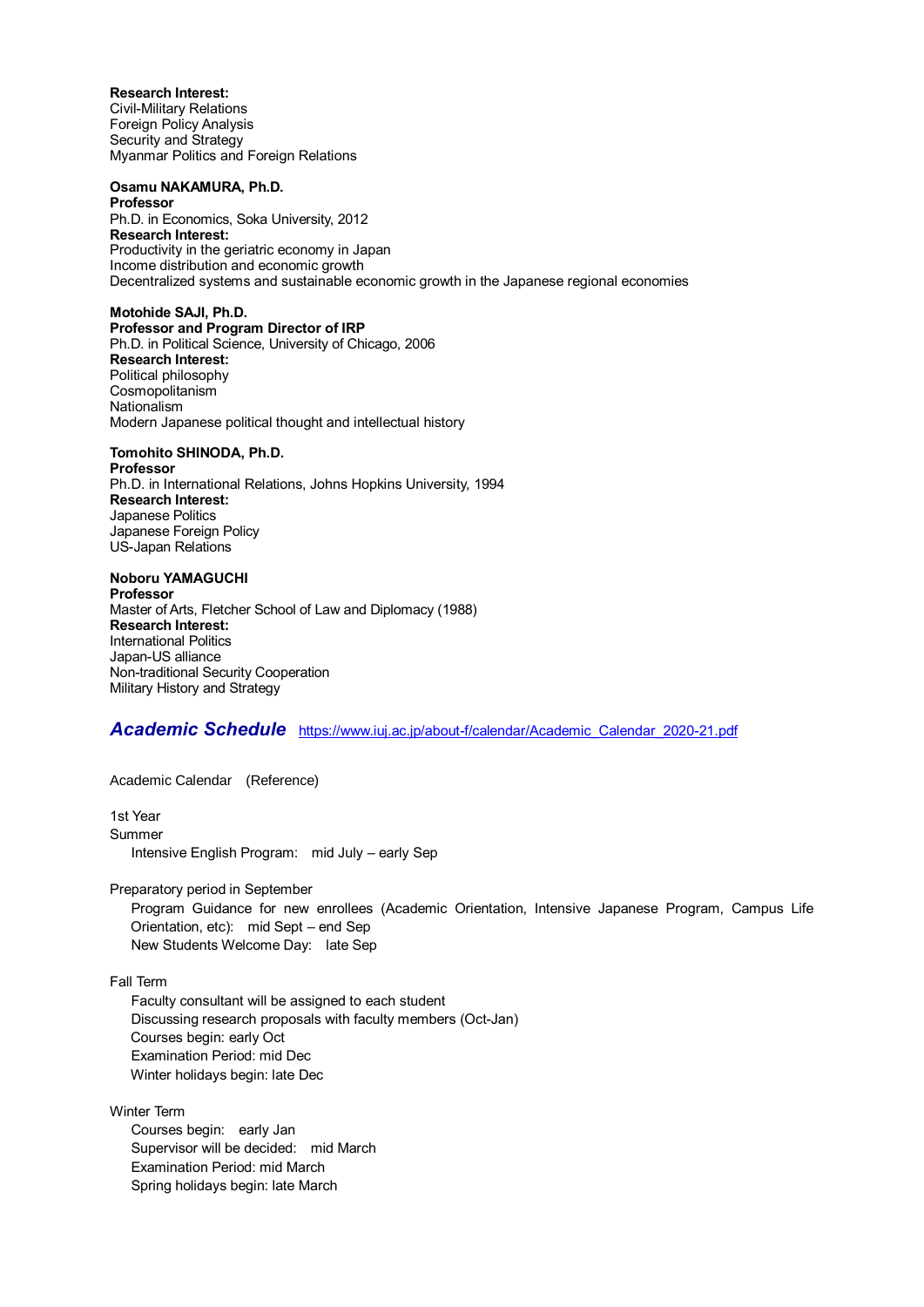**Research Interest:** Civil-Military Relations Foreign Policy Analysis Security and Strategy Myanmar Politics and Foreign Relations

**Osamu NAKAMURA, Ph.D. Professor** Ph.D. in Economics, Soka University, 2012 **Research Interest:** Productivity in the geriatric economy in Japan Income distribution and economic growth Decentralized systems and sustainable economic growth in the Japanese regional economies

**Motohide SAJI, Ph.D. Professor and Program Director of IRP** Ph.D. in Political Science, University of Chicago, 2006 **Research Interest:** Political philosophy Cosmopolitanism Nationalism Modern Japanese political thought and intellectual history

## **Tomohito SHINODA, Ph.D.**

**Professor** Ph.D. in International Relations, Johns Hopkins University, 1994 **Research Interest:** Japanese Politics Japanese Foreign Policy US-Japan Relations

## **Noboru YAMAGUCHI**

**Professor** Master of Arts, Fletcher School of Law and Diplomacy (1988) **Research Interest:** International Politics Japan-US alliance Non-traditional Security Cooperation Military History and Strategy

## *Academic Schedule* [https://www.iuj.ac.jp/about-f/calendar/Academic\\_Calendar\\_2020-21.pdf](https://www.iuj.ac.jp/about-f/calendar/Academic_Calendar_2020-21.pdf)

Academic Calendar (Reference)

1st Year Summer Intensive English Program: mid July – early Sep

Preparatory period in September

 Program Guidance for new enrollees (Academic Orientation, Intensive Japanese Program, Campus Life Orientation, etc): mid Sept – end Sep New Students Welcome Day: late Sep

Fall Term

 Faculty consultant will be assigned to each student Discussing research proposals with faculty members (Oct-Jan) Courses begin: early Oct Examination Period: mid Dec Winter holidays begin: late Dec

Winter Term

 Courses begin: early Jan Supervisor will be decided: mid March Examination Period: mid March Spring holidays begin: late March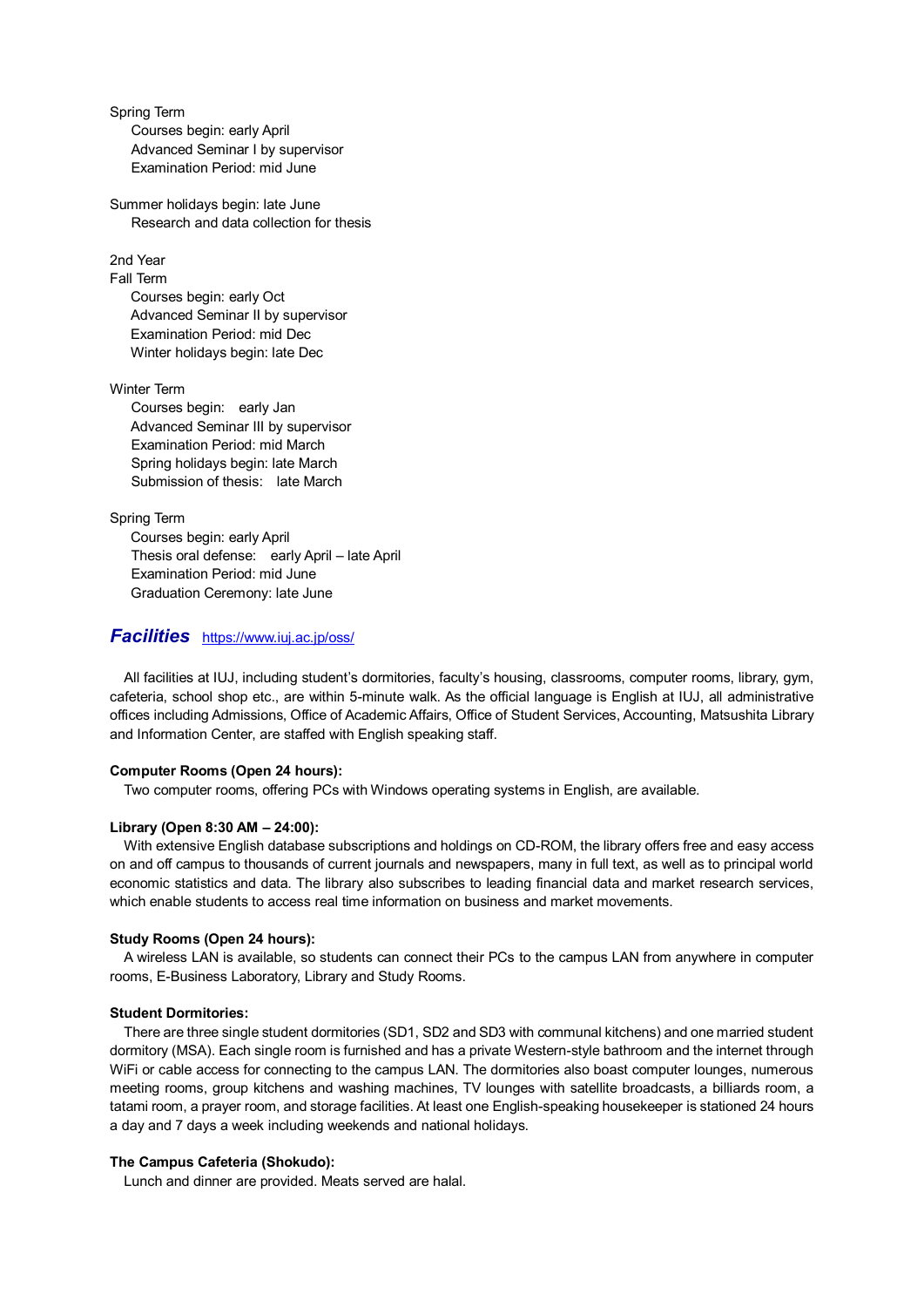Spring Term Courses begin: early April Advanced Seminar I by supervisor Examination Period: mid June

Summer holidays begin: late June Research and data collection for thesis

2nd Year

Fall Term

Courses begin: early Oct Advanced Seminar II by supervisor Examination Period: mid Dec Winter holidays begin: late Dec

Winter Term

 Courses begin: early Jan Advanced Seminar III by supervisor Examination Period: mid March Spring holidays begin: late March Submission of thesis: late March

Spring Term

Courses begin: early April Thesis oral defense: early April – late April Examination Period: mid June Graduation Ceremony: late June

## *Facilities* <https://www.iuj.ac.jp/oss/>

All facilities at IUJ, including student's dormitories, faculty's housing, classrooms, computer rooms, library, gym, cafeteria, school shop etc., are within 5-minute walk. As the official language is English at IUJ, all administrative offices including Admissions, Office of Academic Affairs, Office of Student Services, Accounting, Matsushita Library and Information Center, are staffed with English speaking staff.

## **Computer Rooms (Open 24 hours):**

Two computer rooms, offering PCs with Windows operating systems in English, are available.

### **Library (Open 8:30 AM – 24:00):**

With extensive English database subscriptions and holdings on CD-ROM, the library offers free and easy access on and off campus to thousands of current journals and newspapers, many in full text, as well as to principal world economic statistics and data. The library also subscribes to leading financial data and market research services, which enable students to access real time information on business and market movements.

### **Study Rooms (Open 24 hours):**

A wireless LAN is available, so students can connect their PCs to the campus LAN from anywhere in computer rooms, E-Business Laboratory, Library and Study Rooms.

### **Student Dormitories:**

There are three single student dormitories (SD1, SD2 and SD3 with communal kitchens) and one married student dormitory (MSA). Each single room is furnished and has a private Western-style bathroom and the internet through WiFi or cable access for connecting to the campus LAN. The dormitories also boast computer lounges, numerous meeting rooms, group kitchens and washing machines, TV lounges with satellite broadcasts, a billiards room, a tatami room, a prayer room, and storage facilities. At least one English-speaking housekeeper is stationed 24 hours a day and 7 days a week including weekends and national holidays.

## **The Campus Cafeteria (Shokudo):**

Lunch and dinner are provided. Meats served are halal.